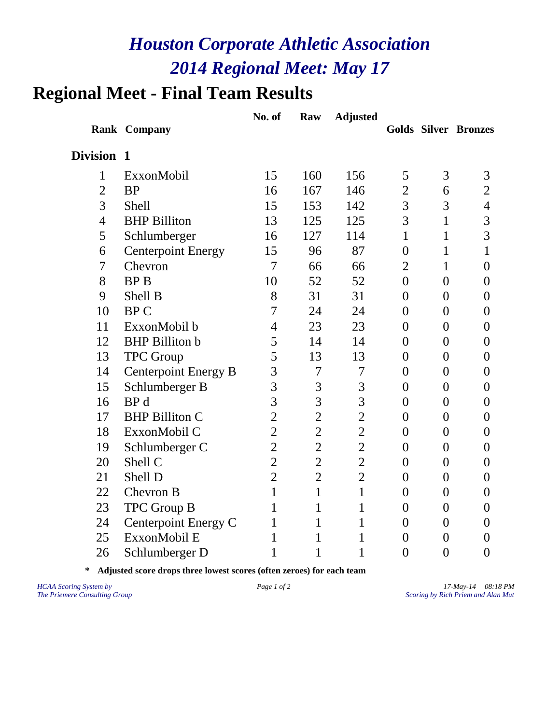# **Regional Meet - Final Team Results**

|                |                             | No. of         | Raw            | <b>Adjusted</b> |                |                |                             |
|----------------|-----------------------------|----------------|----------------|-----------------|----------------|----------------|-----------------------------|
|                | Rank Company                |                |                |                 |                |                | <b>Golds Silver Bronzes</b> |
| Division 1     |                             |                |                |                 |                |                |                             |
| $\mathbf{1}$   | ExxonMobil                  | 15             | 160            | 156             | 5              | 3              | 3                           |
| $\overline{2}$ | <b>BP</b>                   | 16             | 167            | 146             | $\overline{2}$ | 6              | $\overline{2}$              |
| 3              | <b>Shell</b>                | 15             | 153            | 142             | 3              | 3              | $\overline{4}$              |
| $\overline{4}$ | <b>BHP Billiton</b>         | 13             | 125            | 125             | 3              | $\mathbf{1}$   | 3                           |
| 5              | Schlumberger                | 16             | 127            | 114             | $\mathbf{1}$   | $\mathbf{1}$   | 3                           |
| 6              | <b>Centerpoint Energy</b>   | 15             | 96             | 87              | $\overline{0}$ | $\mathbf{1}$   | $\mathbf{1}$                |
| $\overline{7}$ | Chevron                     | $\overline{7}$ | 66             | 66              | $\overline{2}$ | $\mathbf{1}$   | $\overline{0}$              |
| 8              | <b>BPB</b>                  | 10             | 52             | 52              | $\overline{0}$ | $\overline{0}$ | $\overline{0}$              |
| 9              | Shell B                     | 8              | 31             | 31              | $\overline{0}$ | $\overline{0}$ | 0                           |
| 10             | <b>BPC</b>                  | 7              | 24             | 24              | $\overline{0}$ | $\overline{0}$ | $\overline{0}$              |
| 11             | ExxonMobil b                | $\overline{4}$ | 23             | 23              | $\overline{0}$ | $\overline{0}$ | $\overline{0}$              |
| 12             | <b>BHP</b> Billiton b       | 5              | 14             | 14              | $\overline{0}$ | $\overline{0}$ | $\overline{0}$              |
| 13             | <b>TPC Group</b>            | 5              | 13             | 13              | $\overline{0}$ | $\overline{0}$ | $\overline{0}$              |
| 14             | <b>Centerpoint Energy B</b> | 3              | 7              | $\overline{7}$  | $\overline{0}$ | $\overline{0}$ | $\overline{0}$              |
| 15             | Schlumberger B              | $\overline{3}$ | 3              | 3               | $\overline{0}$ | $\overline{0}$ | $\overline{0}$              |
| 16             | BP <sub>d</sub>             | $\overline{3}$ | 3              | 3               | $\overline{0}$ | $\overline{0}$ | $\overline{0}$              |
| 17             | <b>BHP Billiton C</b>       | $\overline{2}$ | $\overline{2}$ | $\overline{2}$  | $\overline{0}$ | $\overline{0}$ | $\overline{0}$              |
| 18             | ExxonMobil C                | $\overline{2}$ | $\overline{c}$ | $\overline{c}$  | $\overline{0}$ | $\overline{0}$ | $\overline{0}$              |
| 19             | Schlumberger C              | $\overline{2}$ | $\overline{2}$ | $\overline{2}$  | $\overline{0}$ | $\overline{0}$ | $\overline{0}$              |
| 20             | Shell C                     | $\overline{2}$ | $\overline{2}$ | $\overline{2}$  | $\overline{0}$ | $\overline{0}$ | $\overline{0}$              |
| 21             | Shell D                     | $\overline{2}$ | $\overline{2}$ | $\overline{2}$  | $\overline{0}$ | $\overline{0}$ | $\overline{0}$              |
| 22             | Chevron B                   | $\mathbf{1}$   | $\mathbf{1}$   | $\mathbf{1}$    | $\overline{0}$ | $\overline{0}$ | $\overline{0}$              |
| 23             | <b>TPC Group B</b>          | $\mathbf{1}$   | 1              | $\mathbf{1}$    | $\overline{0}$ | $\overline{0}$ | $\overline{0}$              |
| 24             | Centerpoint Energy C        | $\mathbf{1}$   | $\mathbf{1}$   | 1               | $\overline{0}$ | $\overline{0}$ | $\overline{0}$              |
| 25             | ExxonMobil E                | $\mathbf{1}$   | 1              | 1               | $\overline{0}$ | $\overline{0}$ | $\overline{0}$              |
| 26             | Schlumberger D              | $\mathbf{1}$   | 1              | 1               | $\overline{0}$ | $\overline{0}$ | $\overline{0}$              |

**\* Adjusted score drops three lowest scores (often zeroes) for each team**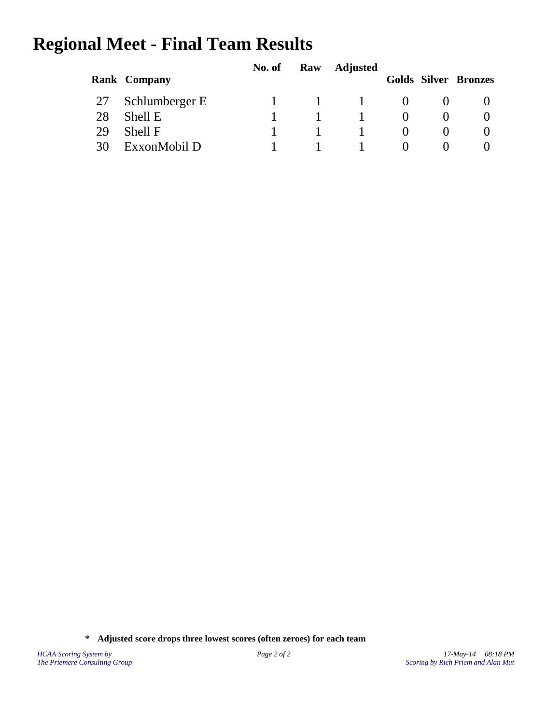# **Regional Meet - Final Team Results**

|    |                     | No. of | Raw | <b>Adjusted</b> |                   |                             |
|----|---------------------|--------|-----|-----------------|-------------------|-----------------------------|
|    | <b>Rank Company</b> |        |     |                 |                   | <b>Golds Silver Bronzes</b> |
|    | 27 Schlumberger E   |        |     |                 |                   |                             |
| 28 | Shell E             |        |     |                 |                   |                             |
| 29 | Shell F             |        |     |                 |                   |                             |
| 30 | ExxonMobil D        |        |     |                 | $\mathbf{\Omega}$ |                             |

**\* Adjusted score drops three lowest scores (often zeroes) for each team**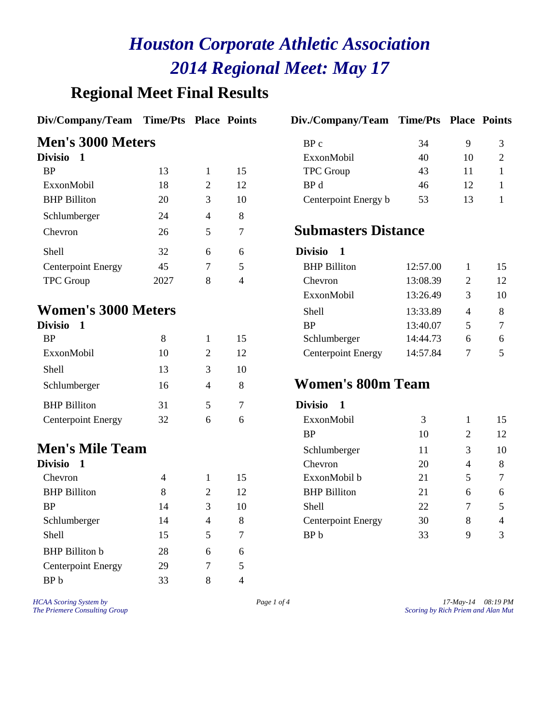### **Regional Meet Final Results**

#### **Div/Company/Team Time/Pts Place Points Div./Company/Team Time/Pts Place Points**

#### **Men's 3000 Meters**

| Divisio                   |      |   |    | ExxonMobil                 | 40       | 10 | 2  |
|---------------------------|------|---|----|----------------------------|----------|----|----|
| <b>BP</b>                 | 13   |   | 15 | <b>TPC</b> Group           | 43       | 11 |    |
| ExxonMobil                | 18   | 2 | 12 | BP d                       | 46       | 12 |    |
| <b>BHP</b> Billiton       | 20   | 3 | 10 | Centerpoint Energy b       | 53       | 13 |    |
| Schlumberger              | 24   | 4 | 8  |                            |          |    |    |
| Chevron                   | 26   | 5 | 7  | <b>Submasters Distance</b> |          |    |    |
| Shell                     | 32   | 6 | 6  | <b>Divisio</b>             |          |    |    |
| <b>Centerpoint Energy</b> | 45   |   | 5  | <b>BHP</b> Billiton        | 12:57.00 |    | 15 |
| <b>TPC</b> Group          | 2027 | 8 | 4  | Chevron                    | 13:08.39 | 2  | 12 |
|                           |      |   |    |                            |          |    |    |

#### **Women's 3000 Meters**

| Divisio                   |    |   |    | <b>BP</b>                     |
|---------------------------|----|---|----|-------------------------------|
| <b>BP</b>                 | 8  |   | 15 | Schlumber                     |
| ExxonMobil                | 10 | 2 | 12 | Centerpoin                    |
| Shell                     | 13 |   | 10 |                               |
| Schlumberger              | 16 | 4 | 8  | Women'                        |
| <b>BHP</b> Billiton       | 31 | 5 |    | <b>Divisio</b><br>$\mathbf 1$ |
| <b>Centerpoint Energy</b> | 32 | 6 | 6  | ExxonMol                      |

#### **Men's Mile Team**

| Divisio                   |    |   |    | Chevron                   | 20 | 4 | 8 |
|---------------------------|----|---|----|---------------------------|----|---|---|
| Chevron                   | 4  |   | 15 | ExxonMobil b              | 21 |   | 7 |
| <b>BHP</b> Billiton       | 8  | 2 | 12 | <b>BHP</b> Billiton       | 21 | 6 | 6 |
| <b>BP</b>                 | 14 | 3 | 10 | <b>Shell</b>              | 22 |   |   |
| Schlumberger              | 14 | 4 | 8  | <b>Centerpoint Energy</b> | 30 | 8 | 4 |
| Shell                     | 15 | 5 | 7  | BP b                      | 33 | 9 | 3 |
| <b>BHP</b> Billiton b     | 28 | 6 | 6  |                           |    |   |   |
| <b>Centerpoint Energy</b> | 29 |   | 5  |                           |    |   |   |
| BP b                      | 33 | 8 | 4  |                           |    |   |   |

| $P_{\rm UV}$ Company/Team Thing Fig. Trace Follow |    |    |                      |    |    |  |
|---------------------------------------------------|----|----|----------------------|----|----|--|
| <b>Men's 3000 Meters</b>                          |    |    | BPc                  | 34 |    |  |
| Divisio                                           |    |    | ExxonMobil           | 40 | 10 |  |
| <b>BP</b>                                         | 13 | 15 | <b>TPC</b> Group     | 43 |    |  |
| ExxonMobil                                        | 18 | 12 | BP d                 | 46 |    |  |
| <b>BHP Billiton</b>                               | 20 | 10 | Centerpoint Energy b | 53 |    |  |

#### **Submasters Distance**

#### Divisio 1

| <b>Centerpoint Energy</b>  | 45   |   |                | <b>BHP Billiton</b>       | 12:57.00 |   | 15 |
|----------------------------|------|---|----------------|---------------------------|----------|---|----|
| <b>TPC</b> Group           | 2027 | 8 | $\overline{4}$ | Chevron                   | 13:08.39 |   | 12 |
|                            |      |   |                | ExxonMobil                | 13:26.49 | 3 | 10 |
| <b>Women's 3000 Meters</b> |      |   |                | Shell                     | 13:33.89 | 4 | 8  |
| Divisio                    |      |   |                | <b>BP</b>                 | 13:40.07 |   |    |
| <b>BP</b>                  | 8    |   | 15             | Schlumberger              | 14:44.73 | 6 | 6  |
| ExxonMobil                 | 10   |   | 12             | <b>Centerpoint Energy</b> | 14:57.84 |   |    |
|                            |      |   |                |                           |          |   |    |

#### **Women's 800m Team**

| <b>BHP</b> Billiton       | 31 |   | 7  | <b>Divisio</b>            |    |                |                |
|---------------------------|----|---|----|---------------------------|----|----------------|----------------|
| <b>Centerpoint Energy</b> | 32 | 6 | 6  | ExxonMobil                | 3  |                | 15             |
|                           |    |   |    | <b>BP</b>                 | 10 | 2              | 12             |
| <b>Men's Mile Team</b>    |    |   |    | Schlumberger              | 11 | 3              | 10             |
| Divisio 1                 |    |   |    | Chevron                   | 20 | $\overline{4}$ | 8              |
| Chevron                   | 4  |   | 15 | ExxonMobil b              | 21 | 5              | $\tau$         |
| <b>BHP</b> Billiton       | 8  | 2 | 12 | <b>BHP</b> Billiton       | 21 | 6              | 6              |
| <b>BP</b>                 | 14 | 3 | 10 | Shell                     | 22 | 7              | 5              |
| Schlumberger              | 14 | 4 | 8  | <b>Centerpoint Energy</b> | 30 | 8              | $\overline{4}$ |
| Shell                     | 15 |   |    | BP b                      | 33 | 9              | 3              |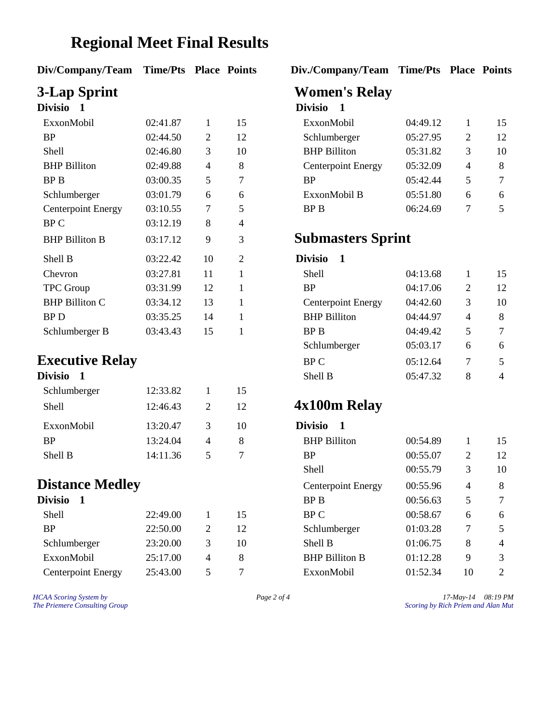### **Regional Meet Final Results**

| Div/Company/Team Time/Pts Place Points |  |  |  |
|----------------------------------------|--|--|--|
|----------------------------------------|--|--|--|

| <b>Divisio</b>            |          |    |                | <b>DIVISIO</b>                |          |                |                |
|---------------------------|----------|----|----------------|-------------------------------|----------|----------------|----------------|
| ExxonMobil                | 02:41.87 | 1  | 15             | ExxonMobil                    | 04:49.12 | 1              | 1:             |
| <b>BP</b>                 | 02:44.50 | 2  | 12             | Schlumberger                  | 05:27.95 | $\overline{2}$ | 1'             |
| Shell                     | 02:46.80 | 3  | 10             | <b>BHP</b> Billiton           | 05:31.82 | 3              | 1 <sub>0</sub> |
| <b>BHP</b> Billiton       | 02:49.88 | 4  | 8              | <b>Centerpoint Energy</b>     | 05:32.09 | 4              | 8              |
| BP B                      | 03:00.35 | 5  | 7              | BP                            | 05:42.44 | 5              | 7              |
| Schlumberger              | 03:01.79 | 6  | 6              | ExxonMobil B                  | 05:51.80 | 6              | 6              |
| <b>Centerpoint Energy</b> | 03:10.55 | 7  | 5              | BP B                          | 06:24.69 | 7              | 5              |
| BP C                      | 03:12.19 | 8  | 4              |                               |          |                |                |
| <b>BHP Billiton B</b>     | 03:17.12 | 9  | 3              | <b>Submasters Sprint</b>      |          |                |                |
| Shell B                   | 03:22.42 | 10 | $\overline{2}$ | <b>Divisio</b><br>$\mathbf 1$ |          |                |                |
| Chevron                   | 03:27.81 | 11 | 1              | Shell                         | 04:13.68 |                | 1.             |
| <b>TPC</b> Group          | 03:31.99 | 12 | 1              | <b>BP</b>                     | 04:17.06 | 2              | 1'             |
| <b>BHP Billiton C</b>     | 03:34.12 | 13 | 1              | <b>Centerpoint Energy</b>     | 04:42.60 | 3              | 1 <sub>0</sub> |
| BP <sub>D</sub>           | 03:35.25 | 14 |                | <b>BHP Billiton</b>           | 04:44.97 | 4              | 8              |
| Schlumberger R            | 03.43.43 | 15 |                | RP R                          | 04.49A2  | 5              | 7              |

#### **Executive Relay**

| 12:33.82 | 1                           | 15 |
|----------|-----------------------------|----|
| 12:46.43 | $\mathcal{D}_{\mathcal{L}}$ | 12 |
| 13:20.47 | 3                           | 10 |
| 13:24.04 | 4                           | 8  |
| 14:11.36 | 5                           |    |
|          |                             |    |

### **Distance Medley**

| Divisio                   |          |                             |    |
|---------------------------|----------|-----------------------------|----|
| Shell                     | 22:49.00 |                             | 15 |
| <b>RP</b>                 | 22:50.00 | $\mathcal{D}_{\mathcal{L}}$ | 12 |
| Schlumberger              | 23:20.00 | 3                           | 10 |
| ExxonMobil                | 25:17.00 | 4                           | 8. |
| <b>Centerpoint Energy</b> | 25:43.00 |                             |    |

**Div/Company/Team Time/Pts Place Points Div./Company/Team Time/Pts Place Points**

# **3-Lap Sprint Women's Relay**

#### **Divisio 1 Divisio 1**

| ExxonMobil                | 02:41.87 |   | 15 | ExxonMobil                | 04:49.12 |   | 15 |
|---------------------------|----------|---|----|---------------------------|----------|---|----|
| BP                        | 02:44.50 | 2 | 12 | Schlumberger              | 05:27.95 |   | 12 |
| Shell                     | 02:46.80 |   | 10 | <b>BHP</b> Billiton       | 05:31.82 |   | 10 |
| BHP Billiton              | 02:49.88 | 4 |    | <b>Centerpoint Energy</b> | 05:32.09 | 4 | 8  |
| BP B                      | 03:00.35 |   |    | <b>BP</b>                 | 05:42.44 |   | 7  |
| Schlumberger              | 03:01.79 | 6 | 6  | ExxonMobil B              | 05:51.80 | 6 | 6  |
| <b>Centerpoint Energy</b> | 03:10.55 |   |    | BP B                      | 06:24.69 |   |    |

#### **Submasters Sprint**

#### Divisio 1

| Chevron                | 03:27.81 | 11 | Shell                     | 04:13.68 |   | 15             |
|------------------------|----------|----|---------------------------|----------|---|----------------|
| <b>TPC</b> Group       | 03:31.99 | 12 | <b>BP</b>                 | 04:17.06 | 2 | 12             |
| <b>BHP Billiton C</b>  | 03:34.12 | 13 | <b>Centerpoint Energy</b> | 04:42.60 | 3 | 10             |
| BP D                   | 03:35.25 | 14 | <b>BHP</b> Billiton       | 04:44.97 | 4 | 8              |
| Schlumberger B         | 03:43.43 | 15 | BP B                      | 04:49.42 | 5 | $\tau$         |
|                        |          |    | Schlumberger              | 05:03.17 | 6 | 6              |
| <b>Executive Relay</b> |          |    | BP C                      | 05:12.64 |   | 5.             |
| <b>Divisio</b>         |          |    | Shell B                   | 05:47.32 | 8 | $\overline{4}$ |

### Shell 12:46.43 <sup>2</sup> <sup>12</sup> **4x100m Relay**

#### Divisio 1

| <b>BP</b>                 | 13:24.04 | 4 | 8  | <b>BHP</b> Billiton       | 00:54.89 |    | 15             |
|---------------------------|----------|---|----|---------------------------|----------|----|----------------|
| Shell B                   | 14:11.36 | 5 | 7  | BP                        | 00:55.07 | 2  | 12             |
|                           |          |   |    | Shell                     | 00:55.79 | 3  | 10             |
| <b>Distance Medley</b>    |          |   |    | <b>Centerpoint Energy</b> | 00:55.96 | 4  | 8              |
| Divisio                   |          |   |    | BP B                      | 00:56.63 | 5  | 7              |
| <b>Shell</b>              | 22:49.00 |   | 15 | BP C                      | 00:58.67 | 6  | 6              |
| <b>BP</b>                 | 22:50.00 | 2 | 12 | Schlumberger              | 01:03.28 | 7  | 5              |
| Schlumberger              | 23:20.00 | 3 | 10 | Shell B                   | 01:06.75 | 8  | $\overline{4}$ |
| ExxonMobil                | 25:17.00 | 4 | 8  | <b>BHP Billiton B</b>     | 01:12.28 | 9  | 3              |
| <b>Centerpoint Energy</b> | 25:43.00 | 5 | 7  | ExxonMobil                | 01:52.34 | 10 | 2              |

*HCAA Scoring System by Page 2 of 4 17-May-14 08:19 PM The Priemere Consulting Group Scoring by Rich Priem and Alan Mut*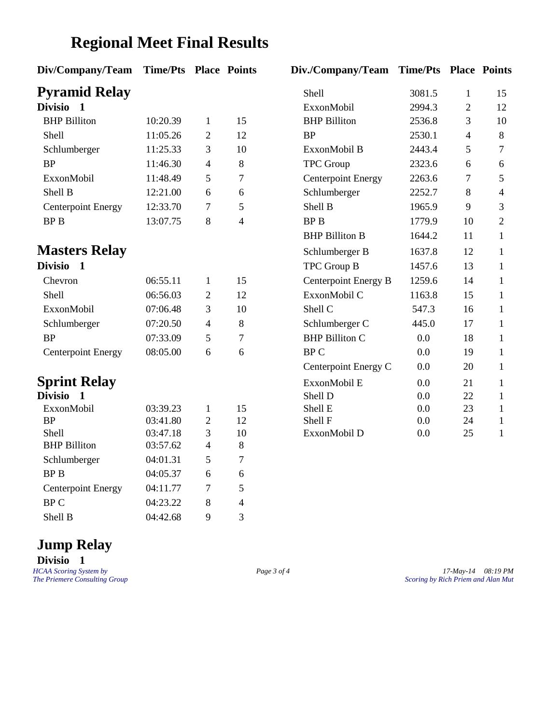### **Regional Meet Final Results**

| Div/Company/Team               | <b>Time/Pts Place Points</b> |                |                | Div./Company/Team Time/Pts Place Point |        |                |                |
|--------------------------------|------------------------------|----------------|----------------|----------------------------------------|--------|----------------|----------------|
| <b>Pyramid Relay</b>           |                              |                |                | Shell                                  | 3081.5 | $\mathbf{1}$   | 15             |
| Divisio 1                      |                              |                |                | ExxonMobil                             | 2994.3 | $\overline{2}$ | 12             |
| <b>BHP</b> Billiton            | 10:20.39                     | $\mathbf{1}$   | 15             | <b>BHP</b> Billiton                    | 2536.8 | 3              | 10             |
| Shell                          | 11:05.26                     | $\mathfrak{2}$ | 12             | <b>BP</b>                              | 2530.1 | $\overline{4}$ | 8              |
| Schlumberger                   | 11:25.33                     | 3              | 10             | ExxonMobil B                           | 2443.4 | 5              | $\overline{7}$ |
| <b>BP</b>                      | 11:46.30                     | $\overline{4}$ | 8              | TPC Group                              | 2323.6 | 6              | 6              |
| ExxonMobil                     | 11:48.49                     | 5              | $\tau$         | <b>Centerpoint Energy</b>              | 2263.6 | 7              | 5              |
| Shell B                        | 12:21.00                     | 6              | 6              | Schlumberger                           | 2252.7 | 8              | $\overline{4}$ |
| <b>Centerpoint Energy</b>      | 12:33.70                     | 7              | 5              | Shell B                                | 1965.9 | 9              | 3              |
| <b>BPB</b>                     | 13:07.75                     | 8              | $\overline{4}$ | <b>BPB</b>                             | 1779.9 | 10             | $\mathbf{2}$   |
|                                |                              |                |                | <b>BHP Billiton B</b>                  | 1644.2 | 11             | $\mathbf{1}$   |
| <b>Masters Relay</b>           |                              |                |                | Schlumberger B                         | 1637.8 | 12             | $\mathbf{1}$   |
| <b>Divisio</b><br>$\mathbf{1}$ |                              |                |                | TPC Group B                            | 1457.6 | 13             | $\mathbf{1}$   |
| Chevron                        | 06:55.11                     | $\mathbf{1}$   | 15             | Centerpoint Energy B                   | 1259.6 | 14             | $\mathbf{1}$   |
| Shell                          | 06:56.03                     | $\mathbf{2}$   | 12             | ExxonMobil C                           | 1163.8 | 15             | $\mathbf{1}$   |
| ExxonMobil                     | 07:06.48                     | 3              | 10             | Shell C                                | 547.3  | 16             | $\mathbf{1}$   |
| Schlumberger                   | 07:20.50                     | $\overline{4}$ | 8              | Schlumberger C                         | 445.0  | 17             | $\mathbf{1}$   |
| <b>BP</b>                      | 07:33.09                     | 5              | $\tau$         | <b>BHP Billiton C</b>                  | 0.0    | 18             | $\mathbf{1}$   |
| <b>Centerpoint Energy</b>      | 08:05.00                     | 6              | 6              | <b>BPC</b>                             | 0.0    | 19             | $\mathbf{1}$   |
|                                |                              |                |                | Centerpoint Energy C                   | 0.0    | 20             | $\mathbf{1}$   |
| <b>Sprint Relay</b>            |                              |                |                | ExxonMobil E                           | 0.0    | 21             | $\mathbf{1}$   |
| <b>Divisio</b><br>$\mathbf 1$  |                              |                |                | Shell D                                | 0.0    | 22             | $\mathbf{1}$   |
| ExxonMobil                     | 03:39.23                     | $\mathbf{1}$   | 15             | Shell E                                | 0.0    | 23             | $\mathbf{1}$   |
| <b>BP</b>                      | 03:41.80                     | $\mathbf{2}$   | 12             | Shell F                                | 0.0    | 24             | $\mathbf{1}$   |
| Shell                          | 03:47.18                     | 3              | 10             | ExxonMobil D                           | 0.0    | 25             | $\mathbf{1}$   |
| <b>BHP</b> Billiton            | 03:57.62                     | $\overline{4}$ | 8              |                                        |        |                |                |
| Schlumberger                   | 04:01.31                     | 5              | $\tau$         |                                        |        |                |                |
| <b>BPB</b>                     | 04:05.37                     | 6              | 6              |                                        |        |                |                |
| <b>Centerpoint Energy</b>      | 04:11.77                     | 7              | 5              |                                        |        |                |                |
| <b>BPC</b>                     | 04:23.22                     | 8              | $\overline{4}$ |                                        |        |                |                |
| Shell B                        | 04:42.68                     | 9              | 3              |                                        |        |                |                |

| Div./Company/Team Time/Pts Place Points |         |              |                          |
|-----------------------------------------|---------|--------------|--------------------------|
| Shell                                   | 3081.5  | $\mathbf{1}$ | 15                       |
| ExxonMobil                              | 2994.3  | 2            | 12                       |
| <b>BHP Billiton</b>                     | 2536.8  | 3            | 10                       |
| <b>BP</b>                               | 2530.1  | 4            | 8                        |
| ExxonMobil B                            | 2443.4  | 5            | 7                        |
| <b>TPC Group</b>                        | 2323.6  | 6            | 6                        |
| <b>Centerpoint Energy</b>               | 2263.6  | 7            | 5                        |
| Schlumberger                            | 2252.7  | 8            | $\overline{\mathcal{A}}$ |
| Shell B                                 | 1965.9  | 9            | 3                        |
| <b>BPB</b>                              | 1779.9  | 10           | $\overline{2}$           |
| <b>BHP Billiton B</b>                   | 1644.2  | 11           | 1                        |
| Schlumberger B                          | 1637.8  | 12           | 1                        |
| <b>TPC Group B</b>                      | 1457.6  | 13           | 1                        |
| Centerpoint Energy B                    | 1259.6  | 14           | 1                        |
| ExxonMobil C                            | 1163.8  | 15           | 1                        |
| Shell C                                 | 547.3   | 16           | 1                        |
| Schlumberger C                          | 445.0   | 17           | 1                        |
| <b>BHP Billiton C</b>                   | 0.0     | 18           | 1                        |
| <b>BPC</b>                              | 0.0     | 19           | 1                        |
| Centerpoint Energy C                    | 0.0     | 20           | 1                        |
| ExxonMobil E                            | 0.0     | 21           | 1                        |
| Shell D                                 | 0.0     | 22           | 1                        |
| Shell E                                 | $0.0\,$ | 23           | 1                        |
| Shell F                                 | 0.0     | 24           | 1                        |
| ExxonMobil D                            | 0.0     | 25           | 1                        |

# **Jump Relay**

**Divisio 1**

*HCAA Scoring System by Page 3 of 4 17-May-14 08:19 PM The Priemere Consulting Group Scoring by Rich Priem and Alan Mut*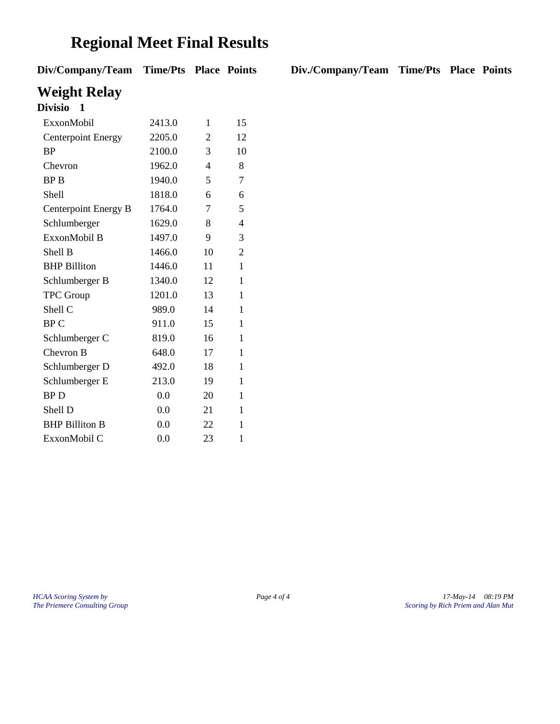### **Regional Meet Final Results**

**Div/Company/Team Time/Pts Place Points Div./Company/Team Time/Pts Place Points**

**Weight Relay**

| Divisio<br>1              |        |    |                |
|---------------------------|--------|----|----------------|
| ExxonMobil                | 2413.0 | 1  | 15             |
| <b>Centerpoint Energy</b> | 2205.0 | 2  | 12             |
| <b>BP</b>                 | 2100.0 | 3  | 10             |
| Chevron                   | 1962.0 | 4  | 8              |
| <b>BPB</b>                | 1940.0 | 5  | 7              |
| Shell                     | 1818.0 | 6  | 6              |
| Centerpoint Energy B      | 1764.0 | 7  | 5              |
| Schlumberger              | 1629.0 | 8  | $\overline{4}$ |
| ExxonMobil B              | 1497.0 | 9  | 3              |
| Shell B                   | 1466.0 | 10 | $\overline{2}$ |
| <b>BHP</b> Billiton       | 1446.0 | 11 | $\mathbf{1}$   |
| Schlumberger B            | 1340.0 | 12 | 1              |
| <b>TPC</b> Group          | 1201.0 | 13 | $\mathbf{1}$   |
| Shell C                   | 989.0  | 14 | 1              |
| <b>BPC</b>                | 911.0  | 15 | 1              |
| Schlumberger C            | 819.0  | 16 | 1              |
| Chevron B                 | 648.0  | 17 | $\mathbf{1}$   |
| Schlumberger D            | 492.0  | 18 | 1              |
| Schlumberger E            | 213.0  | 19 | 1              |
| <b>BPD</b>                | 0.0    | 20 | 1              |
| Shell D                   | 0.0    | 21 | 1              |
| <b>BHP Billiton B</b>     | 0.0    | 22 | 1              |
| ExxonMobil C              | 0.0    | 23 | 1              |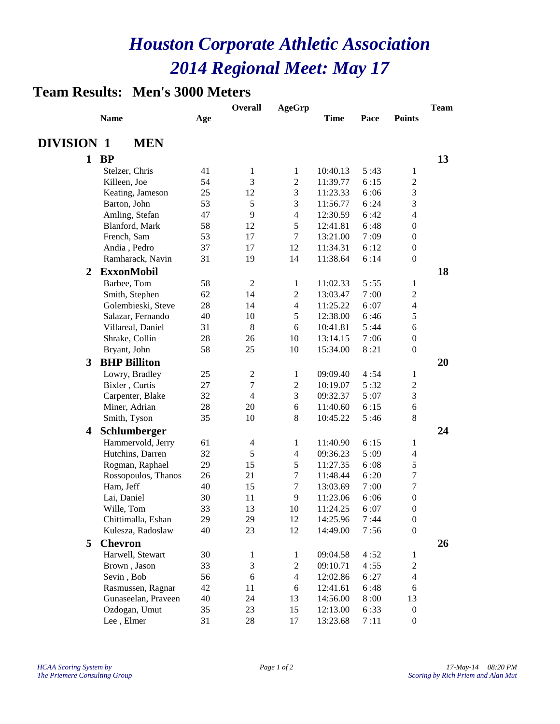#### **Team Results: Men's 3000 Meters**

|                         |                                  |          | <b>Overall</b>           | <b>AgeGrp</b>    |                      |        |                  | <b>Team</b> |
|-------------------------|----------------------------------|----------|--------------------------|------------------|----------------------|--------|------------------|-------------|
|                         | <b>Name</b>                      | Age      |                          |                  | <b>Time</b>          | Pace   | <b>Points</b>    |             |
|                         |                                  |          |                          |                  |                      |        |                  |             |
| <b>DIVISION 1</b>       | <b>MEN</b>                       |          |                          |                  |                      |        |                  |             |
| $\mathbf{1}$            | <b>BP</b>                        |          |                          |                  |                      |        |                  | 13          |
|                         | Stelzer, Chris                   | 41       | 1                        | 1                | 10:40.13             | 5:43   | 1                |             |
|                         | Killeen, Joe                     | 54       | 3                        | $\sqrt{2}$       | 11:39.77             | 6:15   | $\boldsymbol{2}$ |             |
|                         | Keating, Jameson                 | 25       | 12                       | 3                | 11:23.33             | 6:06   | 3                |             |
|                         | Barton, John                     | 53       | 5                        | 3                | 11:56.77             | 6:24   | 3                |             |
|                         | Amling, Stefan                   | 47       | 9                        | $\overline{4}$   | 12:30.59             | 6:42   | 4                |             |
|                         | Blanford, Mark                   | 58       | 12                       | 5                | 12:41.81             | 6:48   | $\boldsymbol{0}$ |             |
|                         | French, Sam                      | 53       | 17                       | 7                | 13:21.00             | 7:09   | $\boldsymbol{0}$ |             |
|                         | Andia, Pedro                     | 37       | 17                       | 12               | 11:34.31             | 6:12   | $\boldsymbol{0}$ |             |
|                         | Ramharack, Navin                 | 31       | 19                       | 14               | 11:38.64             | 6:14   | $\boldsymbol{0}$ |             |
| 2                       | <b>ExxonMobil</b>                |          |                          |                  |                      |        |                  | 18          |
|                         | Barbee, Tom                      | 58       | $\boldsymbol{2}$         | 1                | 11:02.33             | 5:55   | 1                |             |
|                         | Smith, Stephen                   | 62       | 14                       | $\boldsymbol{2}$ | 13:03.47             | 7:00   | $\boldsymbol{2}$ |             |
|                         | Golembieski, Steve               | 28       | 14                       | $\overline{4}$   | 11:25.22             | 6:07   | $\overline{4}$   |             |
|                         | Salazar, Fernando                | 40       | 10                       | 5                | 12:38.00             | 6:46   | 5                |             |
|                         | Villareal, Daniel                | 31       | 8                        | 6                | 10:41.81             | 5:44   | 6                |             |
|                         | Shrake, Collin                   | 28       | 26                       | 10               | 13:14.15             | 7:06   | $\boldsymbol{0}$ |             |
|                         | Bryant, John                     | 58       | 25                       | 10               | 15:34.00             | 8:21   | $\boldsymbol{0}$ |             |
| 3                       | <b>BHP Billiton</b>              |          |                          |                  |                      |        |                  | 20          |
|                         | Lowry, Bradley                   | 25       | 2                        | $\mathbf{1}$     | 09:09.40             | 4:54   | 1                |             |
|                         | Bixler, Curtis                   | 27       | $\overline{7}$           | $\sqrt{2}$       | 10:19.07             | 5:32   | $\boldsymbol{2}$ |             |
|                         | Carpenter, Blake                 | 32       | $\overline{4}$           | 3                | 09:32.37             | 5:07   | 3                |             |
|                         | Miner, Adrian                    | 28       | 20                       | $\sqrt{6}$       | 11:40.60             | 6:15   | 6                |             |
|                         | Smith, Tyson                     | 35       | 10                       | $\,8\,$          | 10:45.22             | 5:46   | 8                |             |
| $\overline{\mathbf{4}}$ | Schlumberger                     |          |                          |                  |                      |        |                  | 24          |
|                         | Hammervold, Jerry                | 61       | $\overline{\mathcal{A}}$ | 1                | 11:40.90             | 6:15   | 1                |             |
|                         | Hutchins, Darren                 | 32       | 5                        | $\overline{4}$   | 09:36.23             | 5:09   | $\overline{4}$   |             |
|                         |                                  | 29       | 15                       | 5                | 11:27.35             | 6:08   | 5                |             |
|                         | Rogman, Raphael                  | 26       | 21                       | $\tau$           | 11:48.44             | 6:20   | $\boldsymbol{7}$ |             |
|                         | Rossopoulos, Thanos<br>Ham, Jeff | 40       | 15                       | $\tau$           |                      | 7:00   | $\boldsymbol{7}$ |             |
|                         |                                  | 30       | 11                       | 9                | 13:03.69<br>11:23.06 | 6:06   | $\boldsymbol{0}$ |             |
|                         | Lai, Daniel<br>Wille, Tom        | 33       | 13                       |                  |                      |        | $\boldsymbol{0}$ |             |
|                         |                                  |          |                          | 10               | 11:24.25             | 6:07   |                  |             |
|                         | Chittimalla, Eshan               | 29<br>40 | 29<br>23                 | 12               | 14:25.96             | 7:44   | $\boldsymbol{0}$ |             |
|                         | Kulesza, Radoslaw                |          |                          | 12               | 14:49.00             | 7:56   | $\boldsymbol{0}$ |             |
| 5                       | <b>Chevron</b>                   |          |                          |                  |                      |        |                  | 26          |
|                         | Harwell, Stewart                 | 30       | 1                        | 1                | 09:04.58             | 4:52   | $\mathbf{1}$     |             |
|                         | Brown, Jason                     | 33       | 3                        | $\boldsymbol{2}$ | 09:10.71             | 4:55   | $\overline{c}$   |             |
|                         | Sevin, Bob                       | 56       | 6                        | $\overline{4}$   | 12:02.86             | 6:27   | $\overline{4}$   |             |
|                         | Rasmussen, Ragnar                | 42       | 11                       | 6                | 12:41.61             | 6:48   | $\sqrt{6}$       |             |
|                         | Gunaseelan, Praveen              | 40       | 24                       | 13               | 14:56.00             | $8:00$ | 13               |             |
|                         | Ozdogan, Umut                    | 35       | 23                       | 15               | 12:13.00             | 6:33   | $\boldsymbol{0}$ |             |
|                         | Lee, Elmer                       | 31       | $28\,$                   | 17               | 13:23.68             | 7:11   | $\boldsymbol{0}$ |             |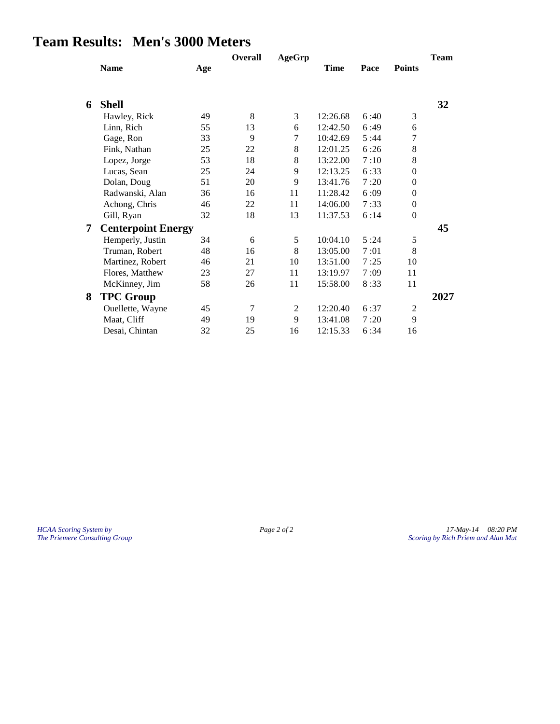### **Team Results: Men's 3000 Meters**

|   |                           |     | Overall | <b>AgeGrp</b> |             |      |                  | <b>Team</b> |
|---|---------------------------|-----|---------|---------------|-------------|------|------------------|-------------|
|   | <b>Name</b>               | Age |         |               | <b>Time</b> | Pace | <b>Points</b>    |             |
|   |                           |     |         |               |             |      |                  |             |
| 6 | <b>Shell</b>              |     |         |               |             |      |                  | 32          |
|   | Hawley, Rick              | 49  | 8       | 3             | 12:26.68    | 6:40 | 3                |             |
|   | Linn, Rich                | 55  | 13      | 6             | 12:42.50    | 6:49 | 6                |             |
|   | Gage, Ron                 | 33  | 9       | 7             | 10:42.69    | 5:44 | $\overline{7}$   |             |
|   | Fink, Nathan              | 25  | 22      | 8             | 12:01.25    | 6:26 | 8                |             |
|   | Lopez, Jorge              | 53  | 18      | 8             | 13:22.00    | 7:10 | 8                |             |
|   | Lucas, Sean               | 25  | 24      | 9             | 12:13.25    | 6:33 | $\theta$         |             |
|   | Dolan, Doug               | 51  | 20      | 9             | 13:41.76    | 7:20 | $\theta$         |             |
|   | Radwanski, Alan           | 36  | 16      | 11            | 11:28.42    | 6:09 | $\theta$         |             |
|   | Achong, Chris             | 46  | 22      | 11            | 14:06.00    | 7:33 | $\theta$         |             |
|   | Gill, Ryan                | 32  | 18      | 13            | 11:37.53    | 6:14 | $\boldsymbol{0}$ |             |
| 7 | <b>Centerpoint Energy</b> |     |         |               |             |      |                  | 45          |
|   | Hemperly, Justin          | 34  | 6       | 5             | 10:04.10    | 5:24 | 5                |             |
|   | Truman, Robert            | 48  | 16      | 8             | 13:05.00    | 7:01 | 8                |             |
|   | Martinez, Robert          | 46  | 21      | 10            | 13:51.00    | 7:25 | 10               |             |
|   | Flores, Matthew           | 23  | 27      | 11            | 13:19.97    | 7:09 | 11               |             |
|   | McKinney, Jim             | 58  | 26      | 11            | 15:58.00    | 8:33 | 11               |             |
| 8 | <b>TPC Group</b>          |     |         |               |             |      |                  | 2027        |
|   | Ouellette, Wayne          | 45  | 7       | 2             | 12:20.40    | 6:37 | $\overline{c}$   |             |
|   | Maat, Cliff               | 49  | 19      | 9             | 13:41.08    | 7:20 | 9                |             |
|   | Desai, Chintan            | 32  | 25      | 16            | 12:15.33    | 6:34 | 16               |             |

*HCAA Scoring System by Page 2 of 2 17-May-14 08:20 PM The Priemere Consulting Group Scoring by Rich Priem and Alan Mut*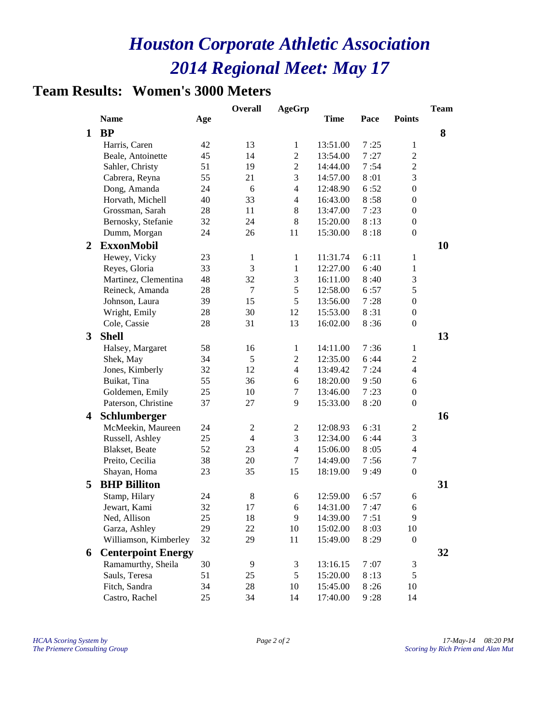### **Team Results: Women's 3000 Meters**

|   |                           |     | <b>Overall</b> | <b>AgeGrp</b>  |             |      |                  | <b>Team</b> |
|---|---------------------------|-----|----------------|----------------|-------------|------|------------------|-------------|
|   | <b>Name</b>               | Age |                |                | <b>Time</b> | Pace | <b>Points</b>    |             |
| 1 | <b>BP</b>                 |     |                |                |             |      |                  | 8           |
|   | Harris, Caren             | 42  | 13             | $\mathbf{1}$   | 13:51.00    | 7:25 | $\mathbf{1}$     |             |
|   | Beale, Antoinette         | 45  | 14             | $\overline{c}$ | 13:54.00    | 7:27 | $\overline{c}$   |             |
|   | Sahler, Christy           | 51  | 19             | $\overline{c}$ | 14:44.00    | 7:54 | $\overline{c}$   |             |
|   | Cabrera, Reyna            | 55  | 21             | 3              | 14:57.00    | 8:01 | 3                |             |
|   | Dong, Amanda              | 24  | 6              | $\overline{4}$ | 12:48.90    | 6:52 | 0                |             |
|   | Horvath, Michell          | 40  | 33             | $\overline{4}$ | 16:43.00    | 8:58 | $\boldsymbol{0}$ |             |
|   | Grossman, Sarah           | 28  | 11             | 8              | 13:47.00    | 7:23 | $\boldsymbol{0}$ |             |
|   | Bernosky, Stefanie        | 32  | 24             | 8              | 15:20.00    | 8:13 | $\boldsymbol{0}$ |             |
|   | Dumm, Morgan              | 24  | 26             | 11             | 15:30.00    | 8:18 | $\boldsymbol{0}$ |             |
| 2 | <b>ExxonMobil</b>         |     |                |                |             |      |                  | 10          |
|   | Hewey, Vicky              | 23  | 1              | 1              | 11:31.74    | 6:11 | 1                |             |
|   | Reyes, Gloria             | 33  | 3              | $\mathbf{1}$   | 12:27.00    | 6:40 | $\mathbf{1}$     |             |
|   | Martinez, Clementina      | 48  | 32             | 3              | 16:11.00    | 8:40 | 3                |             |
|   | Reineck, Amanda           | 28  | 7              | 5              | 12:58.00    | 6:57 | 5                |             |
|   | Johnson, Laura            | 39  | 15             | 5              | 13:56.00    | 7:28 | $\boldsymbol{0}$ |             |
|   | Wright, Emily             | 28  | 30             | 12             | 15:53.00    | 8:31 | $\boldsymbol{0}$ |             |
|   | Cole, Cassie              | 28  | 31             | 13             | 16:02.00    | 8:36 | $\boldsymbol{0}$ |             |
| 3 | <b>Shell</b>              |     |                |                |             |      |                  | 13          |
|   | Halsey, Margaret          | 58  | 16             | $\mathbf{1}$   | 14:11.00    | 7:36 | $\mathbf{1}$     |             |
|   | Shek, May                 | 34  | 5              | $\overline{c}$ | 12:35.00    | 6:44 | $\overline{c}$   |             |
|   | Jones, Kimberly           | 32  | 12             | $\overline{4}$ | 13:49.42    | 7:24 | $\overline{4}$   |             |
|   | Buikat, Tina              | 55  | 36             | 6              | 18:20.00    | 9:50 | 6                |             |
|   | Goldemen, Emily           | 25  | 10             | 7              | 13:46.00    | 7:23 | $\boldsymbol{0}$ |             |
|   | Paterson, Christine       | 37  | 27             | 9              | 15:33.00    | 8:20 | $\boldsymbol{0}$ |             |
| 4 | Schlumberger              |     |                |                |             |      |                  | 16          |
|   | McMeekin, Maureen         | 24  | $\overline{c}$ | 2              | 12:08.93    | 6:31 | 2                |             |
|   | Russell, Ashley           | 25  | $\overline{4}$ | 3              | 12:34.00    | 6:44 | 3                |             |
|   | Blakset, Beate            | 52  | 23             | $\overline{4}$ | 15:06.00    | 8:05 | $\overline{4}$   |             |
|   | Preito, Cecilia           | 38  | 20             | 7              | 14:49.00    | 7:56 | 7                |             |
|   | Shayan, Homa              | 23  | 35             | 15             | 18:19.00    | 9:49 | $\boldsymbol{0}$ |             |
| 5 | <b>BHP Billiton</b>       |     |                |                |             |      |                  | 31          |
|   | Stamp, Hilary             | 24  | $\,$ 8 $\,$    | 6              | 12:59.00    | 6:57 | 6                |             |
|   | Jewart, Kami              | 32  | 17             | 6              | 14:31.00    | 7:47 | 6                |             |
|   | Ned, Allison              | 25  | 18             | 9              | 14:39.00    | 7:51 | 9                |             |
|   | Garza, Ashley             | 29  | 22             | 10             | 15:02.00    | 8:03 | 10               |             |
|   | Williamson, Kimberley     | 32  | 29             | 11             | 15:49.00    | 8:29 | $\boldsymbol{0}$ |             |
| 6 | <b>Centerpoint Energy</b> |     |                |                |             |      |                  | 32          |
|   | Ramamurthy, Sheila        | 30  | 9              | 3              | 13:16.15    | 7:07 | 3                |             |
|   | Sauls, Teresa             | 51  | $25\,$         | 5              | 15:20.00    | 8:13 | 5                |             |
|   | Fitch, Sandra             | 34  | $28\,$         | 10             | 15:45.00    | 8:26 | 10               |             |
|   | Castro, Rachel            | 25  | 34             | 14             | 17:40.00    | 9:28 | 14               |             |
|   |                           |     |                |                |             |      |                  |             |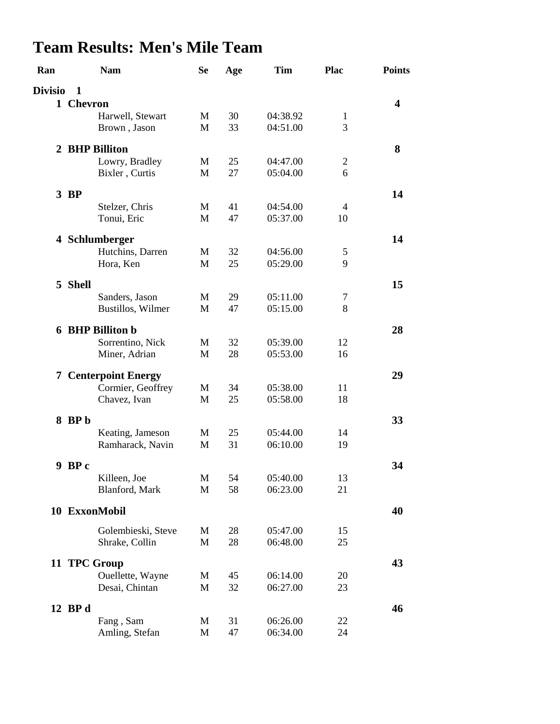# **Team Results: Men's Mile Team**

| Ran            | <b>Nam</b>                           | <b>Se</b> | Age | Tim      | <b>Plac</b>    | <b>Points</b>           |
|----------------|--------------------------------------|-----------|-----|----------|----------------|-------------------------|
| <b>Divisio</b> | 1                                    |           |     |          |                |                         |
|                | 1 Chevron                            |           |     |          |                | $\overline{\mathbf{4}}$ |
|                | Harwell, Stewart                     | M         | 30  | 04:38.92 | $\mathbf{1}$   |                         |
|                | Brown, Jason                         | M         | 33  | 04:51.00 | 3              |                         |
|                | 2 BHP Billiton                       |           |     |          |                | 8                       |
|                | Lowry, Bradley                       | M         | 25  | 04:47.00 | $\mathfrak{2}$ |                         |
|                | Bixler, Curtis                       | M         | 27  | 05:04.00 | 6              |                         |
|                | $3$ BP                               |           |     |          |                | 14                      |
|                | Stelzer, Chris                       | M         | 41  | 04:54.00 | 4              |                         |
|                | Tonui, Eric                          | M         | 47  | 05:37.00 | 10             |                         |
|                | 4 Schlumberger                       |           |     |          |                | 14                      |
|                | Hutchins, Darren                     | M         | 32  | 04:56.00 | 5              |                         |
|                | Hora, Ken                            | M         | 25  | 05:29.00 | 9              |                         |
|                | 5 Shell                              |           |     |          |                | 15                      |
|                | Sanders, Jason                       | M         | 29  | 05:11.00 | $\tau$         |                         |
|                | Bustillos, Wilmer                    | M         | 47  | 05:15.00 | 8              |                         |
|                | <b>6 BHP Billiton b</b>              |           |     |          |                | 28                      |
|                | Sorrentino, Nick                     | M         | 32  | 05:39.00 | 12             |                         |
|                | Miner, Adrian                        | M         | 28  | 05:53.00 | 16             |                         |
|                | <b>7 Centerpoint Energy</b>          |           |     |          |                | 29                      |
|                | Cormier, Geoffrey                    | M         | 34  | 05:38.00 | 11             |                         |
|                | Chavez, Ivan                         | M         | 25  | 05:58.00 | 18             |                         |
|                | $8$ BP <sub>b</sub>                  |           |     |          |                | 33                      |
|                | Keating, Jameson                     | M         | 25  | 05:44.00 | 14             |                         |
|                | Ramharack, Navin                     | M         | 31  | 06:10.00 | 19             |                         |
|                | 9 BP c                               |           |     |          |                | 34                      |
|                | Killeen, Joe                         | M         | 54  | 05:40.00 | 13             |                         |
|                | Blanford, Mark                       | M         | 58  | 06:23.00 | 21             |                         |
|                | 10 ExxonMobil                        |           |     |          |                | 40                      |
|                |                                      |           | 28  | 05:47.00 | 15             |                         |
|                | Golembieski, Steve<br>Shrake, Collin | M<br>M    | 28  | 06:48.00 | 25             |                         |
|                |                                      |           |     |          |                |                         |
|                | 11 TPC Group                         |           |     |          |                | 43                      |
|                | Ouellette, Wayne                     | M         | 45  | 06:14.00 | 20             |                         |
|                | Desai, Chintan                       | M         | 32  | 06:27.00 | 23             |                         |
|                | 12 BP d                              |           |     |          |                | 46                      |
|                | Fang, Sam                            | M         | 31  | 06:26.00 | 22             |                         |
|                | Amling, Stefan                       | M         | 47  | 06:34.00 | 24             |                         |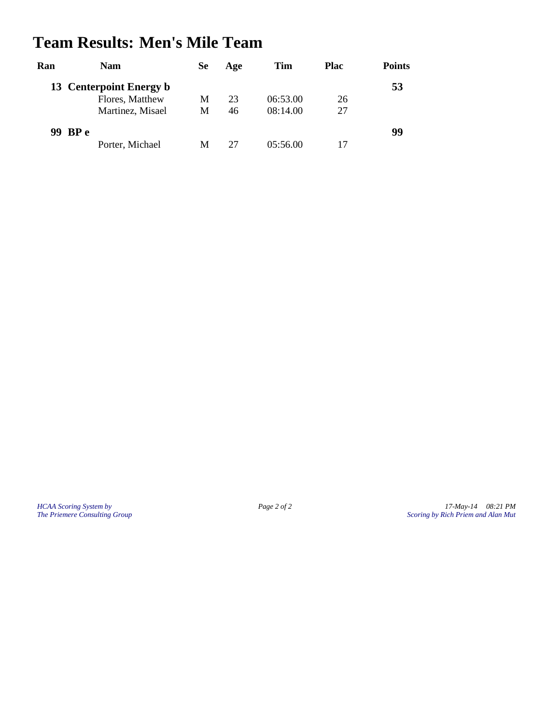### **Team Results: Men's Mile Team**

| Ran | <b>Nam</b>              | Se | Age | Tim      | Plac | <b>Points</b> |
|-----|-------------------------|----|-----|----------|------|---------------|
|     | 13 Centerpoint Energy b |    |     |          |      | 53            |
|     | Flores, Matthew         | М  | 23  | 06:53.00 | 26   |               |
|     | Martinez, Misael        | М  | 46  | 08:14.00 | 27   |               |
|     | 99 BP e                 |    |     |          |      | 99            |
|     | Porter, Michael         | M  | 27  | 05:56.00 |      |               |

*HCAA Scoring System by Page 2 of 2 17-May-14 08:21 PM The Priemere Consulting Group Scoring by Rich Priem and Alan Mut*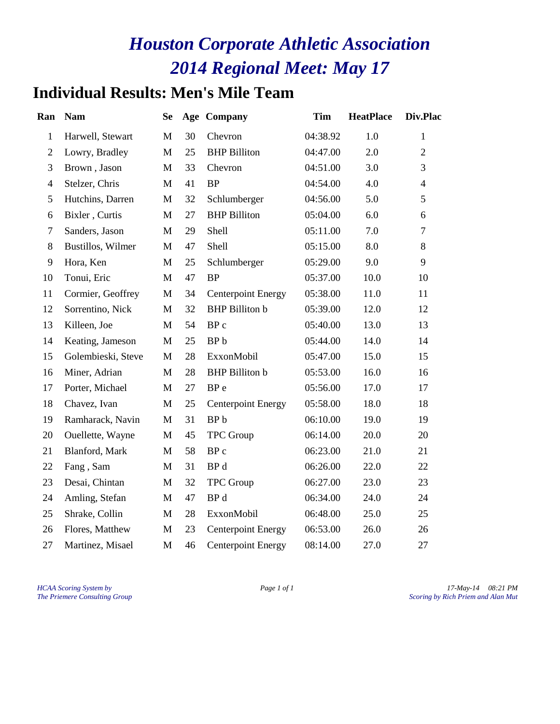### **Individual Results: Men's Mile Team**

| Ran              | <b>Nam</b>         | <b>Se</b>    |    | <b>Age Company</b>        | <b>Tim</b> | <b>HeatPlace</b> | Div.Plac       |
|------------------|--------------------|--------------|----|---------------------------|------------|------------------|----------------|
| $\mathbf{1}$     | Harwell, Stewart   | M            | 30 | Chevron                   | 04:38.92   | 1.0              | $\mathbf{1}$   |
| $\mathbf{2}$     | Lowry, Bradley     | M            | 25 | <b>BHP</b> Billiton       | 04:47.00   | 2.0              | $\overline{2}$ |
| 3                | Brown, Jason       | M            | 33 | Chevron                   | 04:51.00   | 3.0              | $\overline{3}$ |
| $\overline{4}$   | Stelzer, Chris     | M            | 41 | <b>BP</b>                 | 04:54.00   | 4.0              | $\overline{4}$ |
| 5                | Hutchins, Darren   | M            | 32 | Schlumberger              | 04:56.00   | 5.0              | 5              |
| 6                | Bixler, Curtis     | M            | 27 | <b>BHP</b> Billiton       | 05:04.00   | 6.0              | 6              |
| $\boldsymbol{7}$ | Sanders, Jason     | M            | 29 | Shell                     | 05:11.00   | 7.0              | $\overline{7}$ |
| 8                | Bustillos, Wilmer  | M            | 47 | Shell                     | 05:15.00   | 8.0              | 8              |
| 9                | Hora, Ken          | M            | 25 | Schlumberger              | 05:29.00   | 9.0              | 9              |
| 10               | Tonui, Eric        | M            | 47 | <b>BP</b>                 | 05:37.00   | 10.0             | 10             |
| 11               | Cormier, Geoffrey  | M            | 34 | <b>Centerpoint Energy</b> | 05:38.00   | 11.0             | 11             |
| 12               | Sorrentino, Nick   | $\mathbf M$  | 32 | <b>BHP</b> Billiton b     | 05:39.00   | 12.0             | 12             |
| 13               | Killeen, Joe       | M            | 54 | BP c                      | 05:40.00   | 13.0             | 13             |
| 14               | Keating, Jameson   | M            | 25 | BP <sub>b</sub>           | 05:44.00   | 14.0             | 14             |
| 15               | Golembieski, Steve | M            | 28 | ExxonMobil                | 05:47.00   | 15.0             | 15             |
| 16               | Miner, Adrian      | M            | 28 | <b>BHP</b> Billiton b     | 05:53.00   | 16.0             | 16             |
| 17               | Porter, Michael    | M            | 27 | BP <sub>e</sub>           | 05:56.00   | 17.0             | 17             |
| 18               | Chavez, Ivan       | $\mathbf{M}$ | 25 | <b>Centerpoint Energy</b> | 05:58.00   | 18.0             | 18             |
| 19               | Ramharack, Navin   | M            | 31 | BP <sub>b</sub>           | 06:10.00   | 19.0             | 19             |
| 20               | Ouellette, Wayne   | M            | 45 | <b>TPC</b> Group          | 06:14.00   | 20.0             | 20             |
| 21               | Blanford, Mark     | M            | 58 | BP c                      | 06:23.00   | 21.0             | 21             |
| 22               | Fang, Sam          | M            | 31 | BP d                      | 06:26.00   | 22.0             | 22             |
| 23               | Desai, Chintan     | M            | 32 | <b>TPC</b> Group          | 06:27.00   | 23.0             | 23             |
| 24               | Amling, Stefan     | M            | 47 | BP d                      | 06:34.00   | 24.0             | 24             |
| 25               | Shrake, Collin     | M            | 28 | ExxonMobil                | 06:48.00   | 25.0             | 25             |
| 26               | Flores, Matthew    | M            | 23 | <b>Centerpoint Energy</b> | 06:53.00   | 26.0             | 26             |
| 27               | Martinez, Misael   | M            | 46 | <b>Centerpoint Energy</b> | 08:14.00   | 27.0             | 27             |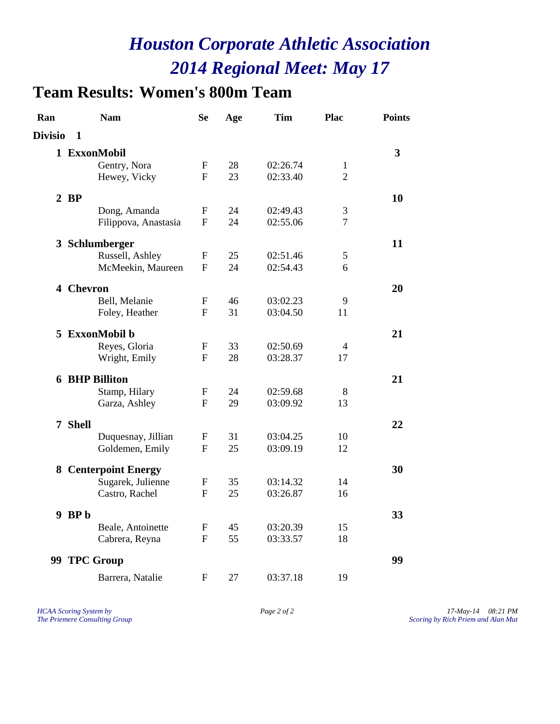### **Team Results: Women's 800m Team**

| Ran            | <b>Nam</b>                  | <b>Se</b>    | Age | <b>Tim</b> | Plac           | <b>Points</b> |
|----------------|-----------------------------|--------------|-----|------------|----------------|---------------|
| <b>Divisio</b> | 1                           |              |     |            |                |               |
|                | 1 ExxonMobil                |              |     |            |                | 3             |
|                | Gentry, Nora                | F            | 28  | 02:26.74   | 1              |               |
|                | Hewey, Vicky                | F            | 23  | 02:33.40   | $\overline{2}$ |               |
|                | $2$ BP                      |              |     |            |                | 10            |
|                | Dong, Amanda                | ${\bf F}$    | 24  | 02:49.43   | 3              |               |
|                | Filippova, Anastasia        | F            | 24  | 02:55.06   | $\overline{7}$ |               |
|                | 3 Schlumberger              |              |     |            |                | 11            |
|                | Russell, Ashley             | F            | 25  | 02:51.46   | 5              |               |
|                | McMeekin, Maureen           | $\mathbf{F}$ | 24  | 02:54.43   | 6              |               |
|                | 4 Chevron                   |              |     |            |                | 20            |
|                | Bell, Melanie               | F            | 46  | 03:02.23   | 9              |               |
|                | Foley, Heather              | F            | 31  | 03:04.50   | 11             |               |
|                | 5 ExxonMobil b              |              |     |            |                | 21            |
|                | Reyes, Gloria               | F            | 33  | 02:50.69   | 4              |               |
|                | Wright, Emily               | F            | 28  | 03:28.37   | 17             |               |
|                | <b>6 BHP Billiton</b>       |              |     |            |                | 21            |
|                | Stamp, Hilary               | F            | 24  | 02:59.68   | 8              |               |
|                | Garza, Ashley               | F            | 29  | 03:09.92   | 13             |               |
|                | 7 Shell                     |              |     |            |                | 22            |
|                | Duquesnay, Jillian          | F            | 31  | 03:04.25   | 10             |               |
|                | Goldemen, Emily             | F            | 25  | 03:09.19   | 12             |               |
|                | <b>8 Centerpoint Energy</b> |              |     |            |                | 30            |
|                | Sugarek, Julienne           | $\mathbf F$  | 35  | 03:14.32   | 14             |               |
|                | Castro, Rachel              | F            | 25  | 03:26.87   | 16             |               |
|                | $9$ BP <sub>b</sub>         |              |     |            |                | 33            |
|                | Beale, Antoinette           | F            | 45  | 03:20.39   | 15             |               |
|                | Cabrera, Reyna              | F            | 55  | 03:33.57   | 18             |               |
|                | 99 TPC Group                |              |     |            |                | 99            |
|                | Barrera, Natalie            | $\mathbf{F}$ | 27  | 03:37.18   | 19             |               |

*HCAA Scoring System by Page 2 of 2 17-May-14 08:21 PM The Priemere Consulting Group Scoring by Rich Priem and Alan Mut*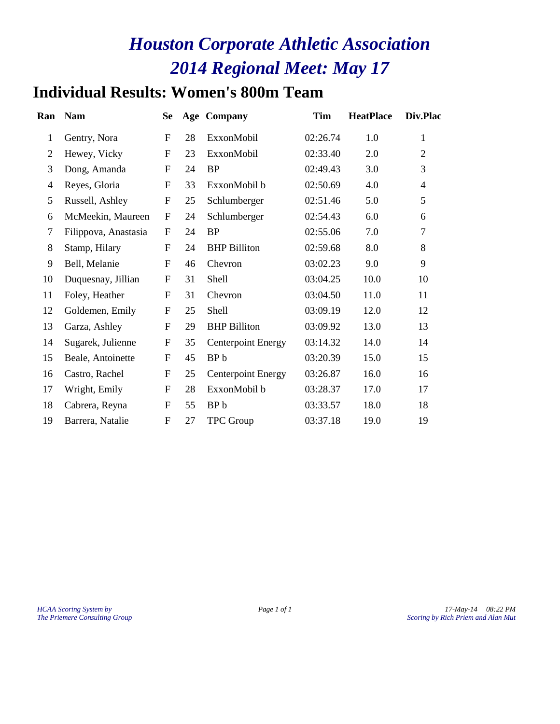### **Individual Results: Women's 800m Team**

| Ran            | <b>Nam</b>           | <b>Se</b>                 |    | Age Company               | Tim      | <b>HeatPlace</b> | Div.Plac       |
|----------------|----------------------|---------------------------|----|---------------------------|----------|------------------|----------------|
| $\mathbf{1}$   | Gentry, Nora         | $\mathbf{F}$              | 28 | ExxonMobil                | 02:26.74 | 1.0              | 1              |
| $\overline{2}$ | Hewey, Vicky         | ${\bf F}$                 | 23 | ExxonMobil                | 02:33.40 | 2.0              | $\overline{2}$ |
| 3              | Dong, Amanda         | $\mathbf{F}$              | 24 | <b>BP</b>                 | 02:49.43 | 3.0              | 3              |
| $\overline{4}$ | Reyes, Gloria        | $\mathbf F$               | 33 | ExxonMobil b              | 02:50.69 | 4.0              | $\overline{4}$ |
| 5              | Russell, Ashley      | $\mathbf F$               | 25 | Schlumberger              | 02:51.46 | 5.0              | 5              |
| 6              | McMeekin, Maureen    | $\mathbf{F}$              | 24 | Schlumberger              | 02:54.43 | 6.0              | 6              |
| 7              | Filippova, Anastasia | $\mathbf F$               | 24 | <b>BP</b>                 | 02:55.06 | 7.0              | $\overline{7}$ |
| 8              | Stamp, Hilary        | $\mathbf{F}$              | 24 | <b>BHP</b> Billiton       | 02:59.68 | 8.0              | 8              |
| 9              | Bell, Melanie        | $\mathbf F$               | 46 | Chevron                   | 03:02.23 | 9.0              | 9              |
| 10             | Duquesnay, Jillian   | $\mathbf{F}$              | 31 | Shell                     | 03:04.25 | 10.0             | 10             |
| 11             | Foley, Heather       | ${\bf F}$                 | 31 | Chevron                   | 03:04.50 | 11.0             | 11             |
| 12             | Goldemen, Emily      | $\boldsymbol{\mathrm{F}}$ | 25 | Shell                     | 03:09.19 | 12.0             | 12             |
| 13             | Garza, Ashley        | ${\bf F}$                 | 29 | <b>BHP</b> Billiton       | 03:09.92 | 13.0             | 13             |
| 14             | Sugarek, Julienne    | ${\bf F}$                 | 35 | <b>Centerpoint Energy</b> | 03:14.32 | 14.0             | 14             |
| 15             | Beale, Antoinette    | $\mathbf F$               | 45 | BP <sub>b</sub>           | 03:20.39 | 15.0             | 15             |
| 16             | Castro, Rachel       | $\boldsymbol{\mathrm{F}}$ | 25 | <b>Centerpoint Energy</b> | 03:26.87 | 16.0             | 16             |
| 17             | Wright, Emily        | ${\bf F}$                 | 28 | ExxonMobil b              | 03:28.37 | 17.0             | 17             |
| 18             | Cabrera, Reyna       | ${\bf F}$                 | 55 | BP <sub>b</sub>           | 03:33.57 | 18.0             | 18             |
| 19             | Barrera, Natalie     | $\boldsymbol{F}$          | 27 | <b>TPC Group</b>          | 03:37.18 | 19.0             | 19             |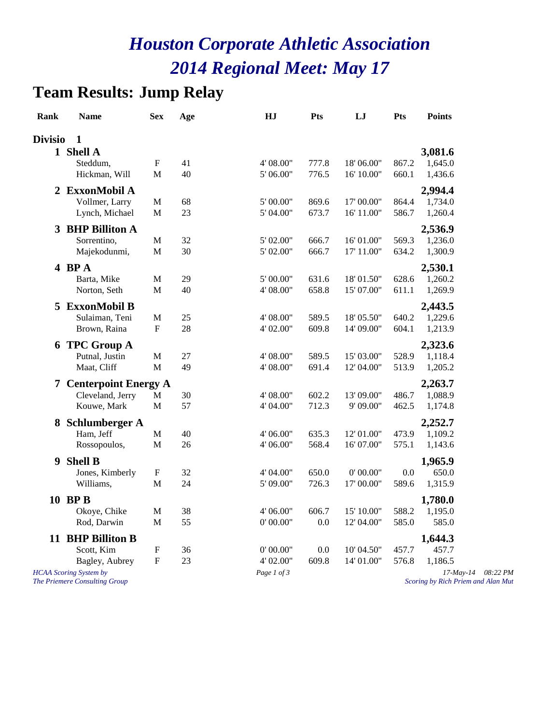### **Team Results: Jump Relay**

| <b>Rank</b>    | <b>Name</b>                                                    | <b>Sex</b>                | Age      | HJ                       | Pts            | LJ                       | Pts            | <b>Points</b>                                         |          |
|----------------|----------------------------------------------------------------|---------------------------|----------|--------------------------|----------------|--------------------------|----------------|-------------------------------------------------------|----------|
| <b>Divisio</b> | $\mathbf{1}$                                                   |                           |          |                          |                |                          |                |                                                       |          |
|                | 1 Shell A                                                      |                           |          |                          |                |                          |                | 3,081.6                                               |          |
|                | Steddum,                                                       | F                         | 41       | 4' 08.00"                | 777.8          | 18'06.00"                | 867.2          | 1,645.0                                               |          |
|                | Hickman, Will                                                  | M                         | 40       | 5' 06.00"                | 776.5          | 16' 10.00"               | 660.1          | 1,436.6                                               |          |
| 2              | <b>ExxonMobil A</b>                                            |                           |          |                          |                |                          |                | 2,994.4                                               |          |
|                | Vollmer, Larry                                                 | M                         | 68       | 5' 00.00"                | 869.6          | 17'00.00"                | 864.4          | 1,734.0                                               |          |
|                | Lynch, Michael                                                 | $\mathbf M$               | 23       | 5' 04.00"                | 673.7          | 16' 11.00"               | 586.7          | 1,260.4                                               |          |
|                | 3 BHP Billiton A                                               |                           |          |                          |                |                          |                | 2,536.9                                               |          |
|                | Sorrentino,                                                    | M                         | 32       | 5' 02.00"                | 666.7          | 16' 01.00"               | 569.3          | 1,236.0                                               |          |
|                | Majekodunmi,                                                   | $\mathbf{M}$              | 30       | 5' 02.00"                | 666.7          | 17' 11.00"               | 634.2          | 1,300.9                                               |          |
|                |                                                                |                           |          |                          |                |                          |                |                                                       |          |
|                | 4 BPA                                                          |                           |          |                          |                |                          |                | 2,530.1                                               |          |
|                | Barta, Mike<br>Norton, Seth                                    | M<br>M                    | 29<br>40 | $5'$ 00.00"<br>4' 08.00" | 631.6<br>658.8 | 18'01.50"<br>15' 07.00"  | 628.6<br>611.1 | 1,260.2<br>1,269.9                                    |          |
|                |                                                                |                           |          |                          |                |                          |                |                                                       |          |
| 5              | <b>ExxonMobil B</b>                                            |                           |          |                          |                |                          |                | 2,443.5                                               |          |
|                | Sulaiman, Teni                                                 | M                         | 25       | 4' 08.00"                | 589.5          | 18' 05.50"               | 640.2          | 1,229.6                                               |          |
|                | Brown, Raina                                                   | $\boldsymbol{\mathrm{F}}$ | 28       | 4' 02.00"                | 609.8          | 14' 09.00"               | 604.1          | 1,213.9                                               |          |
| 6              | <b>TPC Group A</b>                                             |                           |          |                          |                |                          |                | 2,323.6                                               |          |
|                | Putnal, Justin                                                 | $\mathbf M$               | 27       | 4' 08.00"                | 589.5          | 15' 03.00"               | 528.9          | 1,118.4                                               |          |
|                | Maat, Cliff                                                    | M                         | 49       | 4' 08.00"                | 691.4          | 12' 04.00"               | 513.9          | 1,205.2                                               |          |
| 7              | <b>Centerpoint Energy A</b>                                    |                           |          |                          |                |                          |                | 2,263.7                                               |          |
|                | Cleveland, Jerry                                               | $\mathbf M$               | 30       | 4' 08.00"                | 602.2          | 13' 09.00"               | 486.7          | 1,088.9                                               |          |
|                | Kouwe, Mark                                                    | M                         | 57       | 4' 04.00"                | 712.3          | 9' 09.00"                | 462.5          | 1,174.8                                               |          |
| 8              | Schlumberger A                                                 |                           |          |                          |                |                          |                | 2,252.7                                               |          |
|                | Ham, Jeff                                                      | $\mathbf M$               | 40       | 4' 06.00"                | 635.3          | 12' 01.00"               | 473.9          | 1,109.2                                               |          |
|                | Rossopoulos,                                                   | $\mathbf M$               | 26       | 4' 06.00"                | 568.4          | 16' 07.00"               | 575.1          | 1,143.6                                               |          |
| 9              | <b>Shell B</b>                                                 |                           |          |                          |                |                          |                | 1,965.9                                               |          |
|                | Jones, Kimberly                                                | $\boldsymbol{\mathrm{F}}$ | 32       | 4' 04.00"                | 650.0          | 0' 00.00"                | 0.0            | 650.0                                                 |          |
|                | Williams,                                                      | M                         | 24       | 5' 09.00"                | 726.3          | 17' 00.00"               | 589.6          | 1,315.9                                               |          |
|                |                                                                |                           |          |                          |                |                          |                |                                                       |          |
|                | 10 BPB                                                         |                           |          |                          |                |                          |                | 1,780.0                                               |          |
|                | Okoye, Chike<br>Rod, Darwin                                    | M<br>M                    | 38<br>55 | 4' 06.00"<br>0' 00.00"   | 606.7<br>0.0   | 15' 10.00"<br>12' 04.00" | 588.2<br>585.0 | 1,195.0<br>585.0                                      |          |
|                |                                                                |                           |          |                          |                |                          |                |                                                       |          |
|                | 11 BHP Billiton B                                              |                           |          |                          |                |                          |                | 1,644.3                                               |          |
|                | Scott, Kim                                                     | ${\bf F}$                 | 36       | 0' 00.00"                | 0.0            | 10' 04.50"               | 457.7          | 457.7                                                 |          |
|                | Bagley, Aubrey                                                 | $\mathbf F$               | 23       | 4' 02.00"                | 609.8          | 14' 01.00"               | 576.8          | 1,186.5                                               |          |
|                | <b>HCAA</b> Scoring System by<br>The Priemere Consulting Group |                           |          | Page 1 of 3              |                |                          |                | $17$ -May- $14$<br>Scoring by Rich Priem and Alan Mut | 08:22 PM |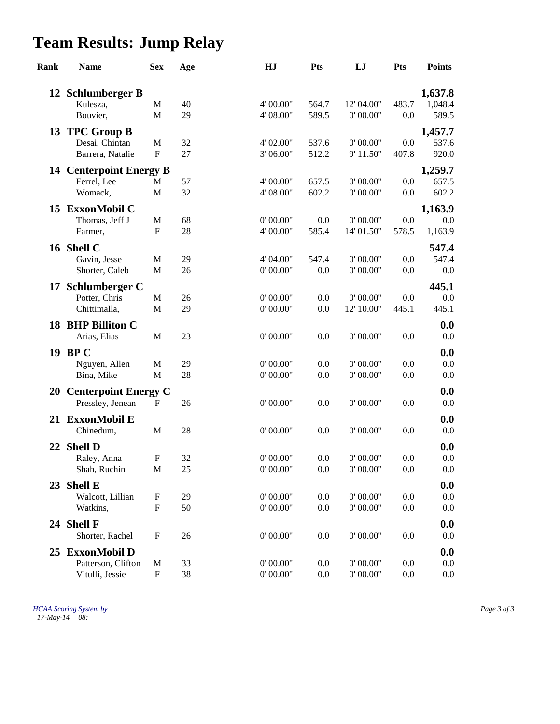# **Team Results: Jump Relay**

| Rank | <b>Name</b>                       | <b>Sex</b>                | Age | HJ        | <b>Pts</b> | LJ         | Pts   | <b>Points</b> |
|------|-----------------------------------|---------------------------|-----|-----------|------------|------------|-------|---------------|
|      | 12 Schlumberger B                 |                           |     |           |            |            |       | 1,637.8       |
|      | Kulesza,                          | M                         | 40  | 4' 00.00" | 564.7      | 12' 04.00" | 483.7 | 1,048.4       |
|      | Bouvier,                          | M                         | 29  | 4' 08.00" | 589.5      | 0' 00.00"  | 0.0   | 589.5         |
|      | 13 TPC Group B                    |                           |     |           |            |            |       | 1,457.7       |
|      | Desai, Chintan                    | $\mathbf M$               | 32  | 4' 02.00" | 537.6      | 0' 00.00"  | 0.0   | 537.6         |
|      | Barrera, Natalie                  | $\mathbf F$               | 27  | 3' 06.00" | 512.2      | 9' 11.50"  | 407.8 | 920.0         |
|      | <b>14 Centerpoint Energy B</b>    |                           |     |           |            |            |       | 1,259.7       |
|      | Ferrel, Lee                       | M                         | 57  | 4' 00.00" | 657.5      | 0' 00.00"  | 0.0   | 657.5         |
|      | Womack,                           | M                         | 32  | 4' 08.00" | 602.2      | 0' 00.00"  | 0.0   | 602.2         |
| 15   | <b>ExxonMobil C</b>               |                           |     |           |            |            |       | 1,163.9       |
|      | Thomas, Jeff J                    | M                         | 68  | 0' 00.00" | 0.0        | 0' 00.00"  | 0.0   | 0.0           |
|      | Farmer,                           | $\mathbf{F}$              | 28  | 4' 00.00" | 585.4      | 14' 01.50" | 578.5 | 1,163.9       |
|      | 16 Shell C                        |                           |     |           |            |            |       | 547.4         |
|      | Gavin, Jesse                      | M                         | 29  | 4' 04.00" | 547.4      | 0' 00.00"  | 0.0   | 547.4         |
|      | Shorter, Caleb                    | $\mathbf M$               | 26  | 0' 00.00" | 0.0        | 0' 00.00"  | 0.0   | 0.0           |
| 17   | <b>Schlumberger C</b>             |                           |     |           |            |            |       | 445.1         |
|      | Potter, Chris                     | M                         | 26  | 0' 00.00" | 0.0        | 0' 00.00"  | 0.0   | 0.0           |
|      | Chittimalla,                      | M                         | 29  | 0' 00.00" | 0.0        | 12' 10.00" | 445.1 | 445.1         |
|      | 18 BHP Billiton C                 |                           |     |           |            |            |       | 0.0           |
|      | Arias, Elias                      | $\mathbf M$               | 23  | 0' 00.00" | 0.0        | 0' 00.00"  | 0.0   | 0.0           |
|      | 19 BP C                           |                           |     |           |            |            |       | 0.0           |
|      | Nguyen, Allen                     | M                         | 29  | 0' 00.00" | 0.0        | 0' 00.00"  | 0.0   | 0.0           |
|      | Bina, Mike                        | $\mathbf M$               | 28  | 0' 00.00" | 0.0        | 0' 00.00"  | 0.0   | 0.0           |
|      | 20 Centerpoint Energy C           |                           |     |           |            |            |       | 0.0           |
|      | Pressley, Jenean                  | F                         | 26  | 0' 00.00" | 0.0        | 0' 00.00"  | 0.0   | 0.0           |
|      | 21 ExxonMobil E                   |                           |     |           |            |            |       | 0.0           |
|      | Chinedum,                         | $\mathbf M$               | 28  | 0' 00.00" | 0.0        | 0' 00.00"  | 0.0   | 0.0           |
|      | 22 Shell D                        |                           |     |           |            |            |       | 0.0           |
|      | Raley, Anna                       | F                         | 32  | 0' 00.00" | 0.0        | 0' 00.00"  | 0.0   | 0.0           |
|      | Shah, Ruchin                      | M                         | 25  | 0' 00.00" | 0.0        | 0' 00.00"  | 0.0   | 0.0           |
|      | 23 Shell E                        |                           |     |           |            |            |       | 0.0           |
|      | Walcott, Lillian                  | F                         | 29  | 0' 00.00" | 0.0        | 0' 00.00"  | 0.0   | 0.0           |
|      | Watkins,                          | $\boldsymbol{\mathrm{F}}$ | 50  | 0' 00.00" | 0.0        | 0' 00.00"  | 0.0   | 0.0           |
|      |                                   |                           |     |           |            |            |       |               |
| 24   | <b>Shell F</b><br>Shorter, Rachel | F                         | 26  | 0' 00.00" | 0.0        | 0' 00.00"  | 0.0   | 0.0<br>0.0    |
|      |                                   |                           |     |           |            |            |       |               |
| 25   | <b>ExxonMobil D</b>               |                           |     |           |            |            |       | 0.0           |
|      | Patterson, Clifton                | M                         | 33  | 0' 00.00" | 0.0        | 0' 00.00"  | 0.0   | 0.0           |
|      | Vitulli, Jessie                   | $\boldsymbol{\mathrm{F}}$ | 38  | 0' 00.00" | 0.0        | 0' 00.00"  | 0.0   | 0.0           |

*HCAA Scoring System by Page 3 of 3 17-May-14 08:*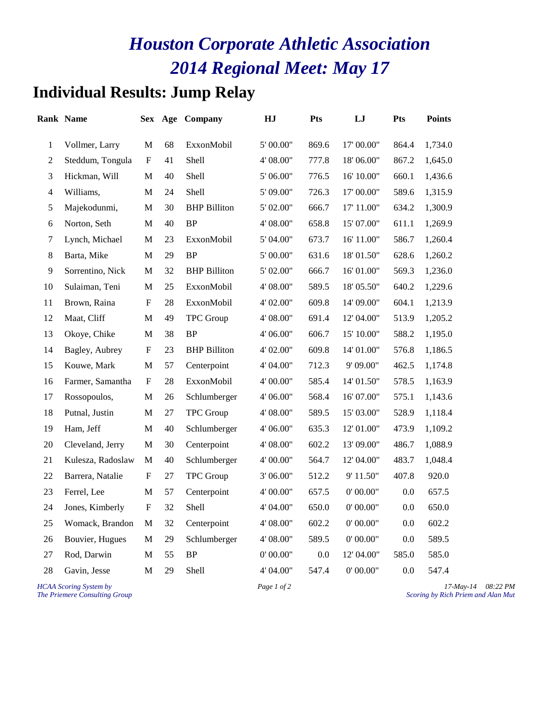### **Individual Results: Jump Relay**

|                  | <b>Rank Name</b>  | Sex                       | Age | Company             | HJ        | <b>Pts</b> | LJ         | <b>Pts</b> | <b>Points</b> |
|------------------|-------------------|---------------------------|-----|---------------------|-----------|------------|------------|------------|---------------|
| $\mathbf{1}$     | Vollmer, Larry    | M                         | 68  | ExxonMobil          | 5' 00.00" | 869.6      | 17' 00.00" | 864.4      | 1,734.0       |
| $\mathbf{2}$     | Steddum, Tongula  | F                         | 41  | <b>Shell</b>        | 4' 08.00" | 777.8      | 18'06.00"  | 867.2      | 1,645.0       |
| 3                | Hickman, Will     | M                         | 40  | Shell               | 5' 06.00" | 776.5      | 16' 10.00" | 660.1      | 1,436.6       |
| $\overline{4}$   | Williams,         | $\mathbf M$               | 24  | <b>Shell</b>        | 5' 09.00" | 726.3      | 17' 00.00" | 589.6      | 1,315.9       |
| 5                | Majekodunmi,      | M                         | 30  | <b>BHP</b> Billiton | 5' 02.00" | 666.7      | 17' 11.00" | 634.2      | 1,300.9       |
| 6                | Norton, Seth      | M                         | 40  | <b>BP</b>           | 4' 08.00" | 658.8      | 15' 07.00" | 611.1      | 1,269.9       |
| $\boldsymbol{7}$ | Lynch, Michael    | $\mathbf M$               | 23  | ExxonMobil          | 5' 04.00" | 673.7      | 16' 11.00" | 586.7      | 1,260.4       |
| $8\,$            | Barta, Mike       | $\mathbf M$               | 29  | <b>BP</b>           | 5' 00.00" | 631.6      | 18'01.50"  | 628.6      | 1,260.2       |
| 9                | Sorrentino, Nick  | M                         | 32  | <b>BHP</b> Billiton | 5' 02.00" | 666.7      | 16' 01.00" | 569.3      | 1,236.0       |
| 10               | Sulaiman, Teni    | $\mathbf M$               | 25  | ExxonMobil          | 4' 08.00" | 589.5      | 18' 05.50" | 640.2      | 1,229.6       |
| 11               | Brown, Raina      | F                         | 28  | ExxonMobil          | 4' 02.00" | 609.8      | 14' 09.00" | 604.1      | 1,213.9       |
| 12               | Maat, Cliff       | M                         | 49  | <b>TPC</b> Group    | 4' 08.00" | 691.4      | 12' 04.00" | 513.9      | 1,205.2       |
| 13               | Okoye, Chike      | $\mathbf M$               | 38  | <b>BP</b>           | 4' 06.00" | 606.7      | 15' 10.00" | 588.2      | 1,195.0       |
| 14               | Bagley, Aubrey    | ${\bf F}$                 | 23  | <b>BHP</b> Billiton | 4' 02.00" | 609.8      | 14' 01.00" | 576.8      | 1,186.5       |
| 15               | Kouwe, Mark       | M                         | 57  | Centerpoint         | 4' 04.00" | 712.3      | 9' 09.00"  | 462.5      | 1,174.8       |
| 16               | Farmer, Samantha  | F                         | 28  | ExxonMobil          | 4' 00.00" | 585.4      | 14' 01.50" | 578.5      | 1,163.9       |
| 17               | Rossopoulos,      | M                         | 26  | Schlumberger        | 4' 06.00" | 568.4      | 16' 07.00" | 575.1      | 1,143.6       |
| 18               | Putnal, Justin    | $\mathbf M$               | 27  | <b>TPC</b> Group    | 4' 08.00" | 589.5      | 15' 03.00" | 528.9      | 1,118.4       |
| 19               | Ham, Jeff         | M                         | 40  | Schlumberger        | 4' 06.00" | 635.3      | 12' 01.00" | 473.9      | 1,109.2       |
| 20               | Cleveland, Jerry  | M                         | 30  | Centerpoint         | 4' 08.00" | 602.2      | 13' 09.00" | 486.7      | 1,088.9       |
| 21               | Kulesza, Radoslaw | M                         | 40  | Schlumberger        | 4' 00.00" | 564.7      | 12' 04.00" | 483.7      | 1,048.4       |
| 22               | Barrera, Natalie  | $\mathbf F$               | 27  | <b>TPC</b> Group    | 3'06.00"  | 512.2      | 9' 11.50"  | 407.8      | 920.0         |
| 23               | Ferrel, Lee       | M                         | 57  | Centerpoint         | 4' 00.00" | 657.5      | 0' 00.00"  | 0.0        | 657.5         |
| 24               | Jones, Kimberly   | $\boldsymbol{\mathrm{F}}$ | 32  | Shell               | 4' 04.00" | 650.0      | 0' 00.00"  | $0.0\,$    | 650.0         |
| 25               | Womack, Brandon   | M                         | 32  | Centerpoint         | 4' 08.00" | 602.2      | 0' 00.00"  | 0.0        | 602.2         |
| 26               | Bouvier, Hugues   | $\mathbf M$               | 29  | Schlumberger        | 4' 08.00" | 589.5      | 0' 00.00"  | 0.0        | 589.5         |
| 27               | Rod, Darwin       | M                         | 55  | <b>BP</b>           | 0'00.00"  | 0.0        | 12' 04.00" | 585.0      | 585.0         |
| 28               | Gavin, Jesse      | $\mathbf M$               | 29  | Shell               | 4' 04.00" | 547.4      | 0' 00.00"  | 0.0        | 547.4         |
|                  |                   |                           |     |                     |           |            |            |            |               |

*HCAA Scoring System by Page 1 of 2 Page 1 of 2 17-May-14 08:22 PM*<br>*Page 1 of 2 17-May-14 08:22 PM*<br>*Scoring by Rich Priem and Alan Mut The Priemere Consulting Group Scoring by Rich Priem and Alan Mut*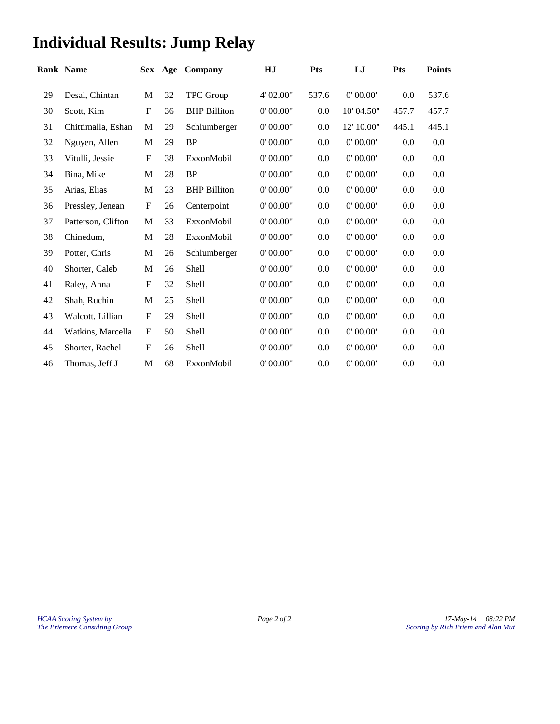# **Individual Results: Jump Relay**

| <b>Rank Name</b>   |                           |    | Company             | HJ        | <b>Pts</b> | LJ         | <b>Pts</b> | <b>Points</b> |
|--------------------|---------------------------|----|---------------------|-----------|------------|------------|------------|---------------|
| Desai, Chintan     | M                         | 32 | <b>TPC</b> Group    | 4' 02.00" | 537.6      | 0' 00.00"  | 0.0        | 537.6         |
| Scott, Kim         | $\mathbf F$               | 36 | <b>BHP</b> Billiton | 0' 00.00" | 0.0        | 10' 04.50" | 457.7      | 457.7         |
| Chittimalla, Eshan | M                         | 29 | Schlumberger        | 0' 00.00" | 0.0        | 12' 10.00" | 445.1      | 445.1         |
| Nguyen, Allen      | M                         | 29 | <b>BP</b>           | 0' 00.00" | 0.0        | 0'00.00"   | 0.0        | 0.0           |
| Vitulli, Jessie    | $\mathbf{F}$              | 38 | ExxonMobil          | 0' 00.00" | 0.0        | 0'00.00"   | 0.0        | 0.0           |
| Bina, Mike         | M                         | 28 | <b>BP</b>           | 0'00.00"  | 0.0        | 0'00.00"   | 0.0        | 0.0           |
| Arias, Elias       | M                         | 23 | <b>BHP</b> Billiton | 0' 00.00" | 0.0        | 0' 00.00"  | 0.0        | 0.0           |
| Pressley, Jenean   | $\mathbf F$               | 26 | Centerpoint         | 0' 00.00" | 0.0        | 0'00.00"   | 0.0        | 0.0           |
| Patterson, Clifton | M                         | 33 | ExxonMobil          | 0'00.00"  | 0.0        | 0'00.00"   | 0.0        | 0.0           |
| Chinedum,          | M                         | 28 | ExxonMobil          | 0'00.00"  | 0.0        | 0'00.00"   | 0.0        | 0.0           |
| Potter, Chris      | M                         | 26 | Schlumberger        | 0' 00.00" | 0.0        | 0' 00.00"  | 0.0        | 0.0           |
| Shorter, Caleb     | $\mathbf M$               | 26 | Shell               | 0' 00.00" | 0.0        | 0' 00.00"  | 0.0        | 0.0           |
| Raley, Anna        | $\boldsymbol{\mathrm{F}}$ | 32 | Shell               | 0' 00.00" | 0.0        | 0' 00.00"  | 0.0        | 0.0           |
| Shah, Ruchin       | M                         | 25 | <b>Shell</b>        | 0' 00.00" | 0.0        | 0' 00.00"  | 0.0        | 0.0           |
| Walcott, Lillian   | $\boldsymbol{F}$          | 29 | <b>Shell</b>        | 0' 00.00" | 0.0        | 0'00.00"   | 0.0        | 0.0           |
| Watkins, Marcella  | $\mathbf F$               | 50 | Shell               | 0' 00.00" | 0.0        | 0' 00.00"  | 0.0        | 0.0           |
| Shorter, Rachel    | $\mathbf F$               | 26 | Shell               | 0' 00.00" | 0.0        | 0' 00.00"  | 0.0        | 0.0           |
| Thomas, Jeff J     | $\mathbf M$               | 68 | ExxonMobil          | 0' 00.00" | 0.0        | 0'00.00"   | 0.0        | 0.0           |
|                    |                           |    |                     | Sex Age   |            |            |            |               |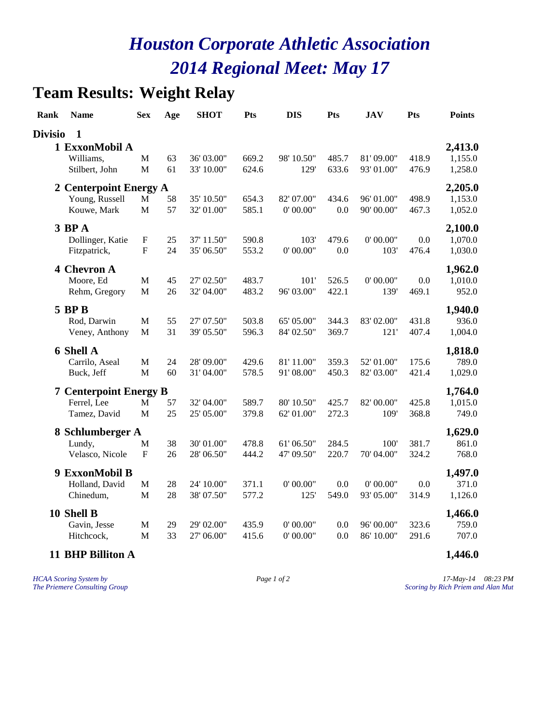### **Team Results: Weight Relay**

| Rank           | <b>Name</b>                   | <b>Sex</b>   | Age | <b>SHOT</b> | Pts   | <b>DIS</b> | Pts   | <b>JAV</b> | Pts   | <b>Points</b> |
|----------------|-------------------------------|--------------|-----|-------------|-------|------------|-------|------------|-------|---------------|
| <b>Divisio</b> | $\mathbf{1}$                  |              |     |             |       |            |       |            |       |               |
|                | 1 ExxonMobil A                |              |     |             |       |            |       |            |       | 2,413.0       |
|                | Williams,                     | $\mathbf{M}$ | 63  | 36' 03.00"  | 669.2 | 98' 10.50" | 485.7 | 81'09.00"  | 418.9 | 1,155.0       |
|                | Stilbert, John                | M            | 61  | 33' 10.00"  | 624.6 | 129'       | 633.6 | 93' 01.00" | 476.9 | 1,258.0       |
|                | 2 Centerpoint Energy A        |              |     |             |       |            |       |            |       | 2,205.0       |
|                | Young, Russell                | $\mathbf M$  | 58  | 35' 10.50"  | 654.3 | 82' 07.00" | 434.6 | 96' 01.00" | 498.9 | 1,153.0       |
|                | Kouwe, Mark                   | $\mathbf M$  | 57  | 32' 01.00"  | 585.1 | 0' 00.00"  | 0.0   | 90' 00.00" | 467.3 | 1,052.0       |
|                | $3$ BP $A$                    |              |     |             |       |            |       |            |       | 2,100.0       |
|                | Dollinger, Katie              | ${\bf F}$    | 25  | 37' 11.50"  | 590.8 | 103'       | 479.6 | 0' 00.00"  | 0.0   | 1,070.0       |
|                | Fitzpatrick,                  | ${\bf F}$    | 24  | 35' 06.50"  | 553.2 | 0'00.00"   | 0.0   | 103'       | 476.4 | 1,030.0       |
|                | 4 Chevron A                   |              |     |             |       |            |       |            |       | 1,962.0       |
|                | Moore, Ed                     | $\mathbf M$  | 45  | 27' 02.50"  | 483.7 | 101'       | 526.5 | 0' 00.00"  | 0.0   | 1,010.0       |
|                | Rehm, Gregory                 | M            | 26  | 32' 04.00"  | 483.2 | 96' 03.00" | 422.1 | 139'       | 469.1 | 952.0         |
|                | <b>5 BPB</b>                  |              |     |             |       |            |       |            |       | 1,940.0       |
|                | Rod, Darwin                   | M            | 55  | 27' 07.50"  | 503.8 | 65' 05.00" | 344.3 | 83' 02.00" | 431.8 | 936.0         |
|                | Veney, Anthony                | M            | 31  | 39' 05.50"  | 596.3 | 84' 02.50" | 369.7 | 121'       | 407.4 | 1,004.0       |
|                | <b>6 Shell A</b>              |              |     |             |       |            |       |            |       | 1,818.0       |
|                | Carrilo, Aseal                | M            | 24  | 28' 09.00"  | 429.6 | 81'11.00"  | 359.3 | 52' 01.00" | 175.6 | 789.0         |
|                | Buck, Jeff                    | $\mathbf{M}$ | 60  | 31' 04.00"  | 578.5 | 91'08.00"  | 450.3 | 82' 03.00" | 421.4 | 1,029.0       |
|                | <b>7 Centerpoint Energy B</b> |              |     |             |       |            |       |            |       | 1,764.0       |
|                | Ferrel, Lee                   | M            | 57  | 32' 04.00"  | 589.7 | 80' 10.50" | 425.7 | 82' 00.00" | 425.8 | 1,015.0       |
|                | Tamez, David                  | $\mathbf{M}$ | 25  | 25' 05.00"  | 379.8 | 62' 01.00" | 272.3 | 109'       | 368.8 | 749.0         |
|                | 8 Schlumberger A              |              |     |             |       |            |       |            |       | 1,629.0       |
|                | Lundy,                        | $\mathbf M$  | 38  | 30' 01.00"  | 478.8 | 61'06.50"  | 284.5 | 100'       | 381.7 | 861.0         |
|                | Velasco, Nicole               | ${\bf F}$    | 26  | 28' 06.50"  | 444.2 | 47' 09.50" | 220.7 | 70' 04.00" | 324.2 | 768.0         |
|                | 9 ExxonMobil B                |              |     |             |       |            |       |            |       | 1,497.0       |
|                | Holland, David                | M            | 28  | 24' 10.00"  | 371.1 | 0' 00.00"  | 0.0   | 0' 00.00"  | 0.0   | 371.0         |
|                | Chinedum,                     | M            | 28  | 38' 07.50"  | 577.2 | 125'       | 549.0 | 93' 05.00" | 314.9 | 1,126.0       |
|                | 10 Shell B                    |              |     |             |       |            |       |            |       | 1,466.0       |
|                | Gavin, Jesse                  | $\mathbf M$  | 29  | 29' 02.00"  | 435.9 | 0' 00.00"  | 0.0   | 96' 00.00" | 323.6 | 759.0         |
|                | Hitchcock,                    | M            | 33  | 27' 06.00"  | 415.6 | 0' 00.00"  | 0.0   | 86' 10.00" | 291.6 | 707.0         |
|                | 11 BHP Billiton A             |              |     |             |       |            |       |            |       | 1,446.0       |

*HCAA Scoring System by Page 1 of 2 17-May-14 08:23 PM The Priemere Consulting Group Scoring by Rich Priem and Alan Mut*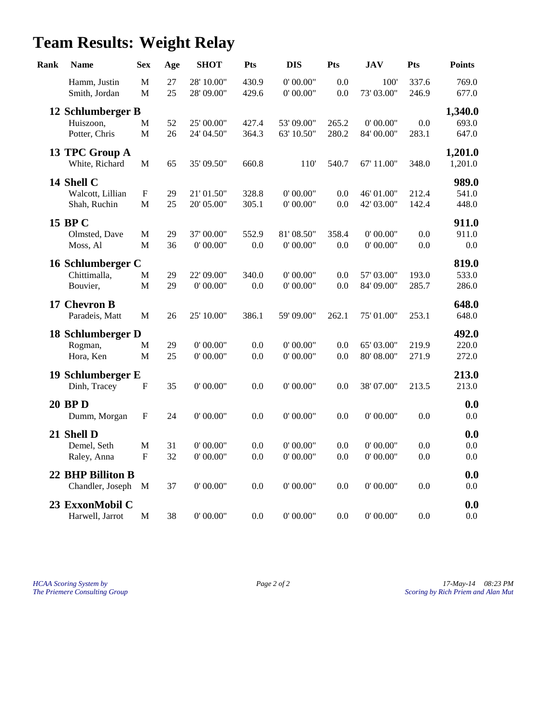# **Team Results: Weight Relay**

| Rank | <b>Name</b>                   | <b>Sex</b>        | Age      | <b>SHOT</b>              | Pts            | <b>DIS</b>             | Pts            | <b>JAV</b>         | Pts            | <b>Points</b>  |
|------|-------------------------------|-------------------|----------|--------------------------|----------------|------------------------|----------------|--------------------|----------------|----------------|
|      | Hamm, Justin<br>Smith, Jordan | M<br>$\mathbf{M}$ | 27<br>25 | 28' 10.00"<br>28' 09.00" | 430.9<br>429.6 | 0' 00.00"<br>0' 00.00" | 0.0<br>$0.0\,$ | 100'<br>73' 03.00" | 337.6<br>246.9 | 769.0<br>677.0 |
|      | 12 Schlumberger B             |                   |          |                          |                |                        |                |                    |                | 1,340.0        |
|      | Huiszoon,                     | M                 | 52       | 25' 00.00"               | 427.4          | 53' 09.00"             | 265.2          | 0' 00.00"          | 0.0            | 693.0          |
|      | Potter, Chris                 | M                 | 26       | 24' 04.50"               | 364.3          | 63' 10.50"             | 280.2          | 84' 00.00"         | 283.1          | 647.0          |
|      | 13 TPC Group A                |                   |          |                          |                |                        |                |                    |                | 1,201.0        |
|      | White, Richard                | M                 | 65       | 35' 09.50"               | 660.8          | 110 <sup>'</sup>       | 540.7          | 67' 11.00"         | 348.0          | 1,201.0        |
|      | 14 Shell C                    |                   |          |                          |                |                        |                |                    |                | 989.0          |
|      | Walcott, Lillian              | ${\bf F}$         | 29       | 21' 01.50"               | 328.8          | 0' 00.00"              | 0.0            | 46' 01.00"         | 212.4          | 541.0          |
|      | Shah, Ruchin                  | $\mathbf{M}$      | 25       | 20' 05.00"               | 305.1          | 0' 00.00"              | 0.0            | 42' 03.00"         | 142.4          | 448.0          |
|      | 15 BP C                       |                   |          |                          |                |                        |                |                    |                | 911.0          |
|      | Olmsted, Dave                 | M                 | 29       | 37' 00.00"               | 552.9          | 81'08.50"              | 358.4          | 0' 00.00"          | 0.0            | 911.0          |
|      | Moss, Al                      | $\mathbf{M}$      | 36       | 0' 00.00"                | 0.0            | 0' 00.00"              | 0.0            | 0' 00.00"          | 0.0            | $0.0\,$        |
|      | 16 Schlumberger C             |                   |          |                          |                |                        |                |                    |                | 819.0          |
|      | Chittimalla,                  | $\mathbf{M}$      | 29       | 22' 09.00"               | 340.0          | 0' 00.00"              | 0.0            | 57' 03.00"         | 193.0          | 533.0          |
|      | Bouvier,                      | M                 | 29       | 0' 00.00"                | $0.0\,$        | $0'$ 00.00"            | 0.0            | 84' 09.00"         | 285.7          | 286.0          |
|      | 17 Chevron B                  |                   |          |                          |                |                        |                |                    |                | 648.0          |
|      | Paradeis, Matt                | $\mathbf{M}$      | 26       | 25' 10.00"               | 386.1          | 59' 09.00"             | 262.1          | 75' 01.00"         | 253.1          | 648.0          |
|      | 18 Schlumberger D             |                   |          |                          |                |                        |                |                    |                | 492.0          |
|      | Rogman,                       | M                 | 29       | 0' 00.00"                | 0.0            | 0' 00.00"              | 0.0            | 65' 03.00"         | 219.9          | 220.0          |
|      | Hora, Ken                     | M                 | 25       | 0' 00.00"                | 0.0            | 0' 00.00"              | 0.0            | 80' 08.00"         | 271.9          | 272.0          |
|      | 19 Schlumberger E             |                   |          |                          |                |                        |                |                    |                | 213.0          |
|      | Dinh, Tracey                  | ${\bf F}$         | 35       | 0' 00.00"                | 0.0            | 0' 00.00"              | 0.0            | 38' 07.00"         | 213.5          | 213.0          |
|      | <b>20 BPD</b>                 |                   |          |                          |                |                        |                |                    |                | 0.0            |
|      | Dumm, Morgan                  | ${\bf F}$         | 24       | 0' 00.00"                | 0.0            | 0' 00.00"              | 0.0            | 0' 00.00"          | 0.0            | 0.0            |
|      | 21 Shell D                    |                   |          |                          |                |                        |                |                    |                | 0.0            |
|      | Demel, Seth                   | M                 | 31       | 0' 00.00"                | 0.0            | 0' 00.00"              | 0.0            | 0' 00.00"          | 0.0            | 0.0            |
|      | Raley, Anna                   | ${\bf F}$         | 32       | 0' 00.00"                | $0.0\,$        | $0'$ 00.00"            | $0.0\,$        | 0' 00.00"          | 0.0            | 0.0            |
|      | 22 BHP Billiton B             |                   |          |                          |                |                        |                |                    |                | 0.0            |
|      | Chandler, Joseph              | M                 | 37       | 0' 00.00"                | 0.0            | 0'00.00"               | 0.0            | 0' 00.00"          | 0.0            | 0.0            |
|      | 23 ExxonMobil C               |                   |          |                          |                |                        |                |                    |                | 0.0            |
|      | Harwell, Jarrot               | $\mathbf M$       | 38       | 0' 00.00"                | 0.0            | 0' 00.00"              | 0.0            | 0' 00.00"          | 0.0            | 0.0            |

*HCAA Scoring System by Page 2 of 2 17-May-14 08:23 PM The Priemere Consulting Group Scoring by Rich Priem and Alan Mut*